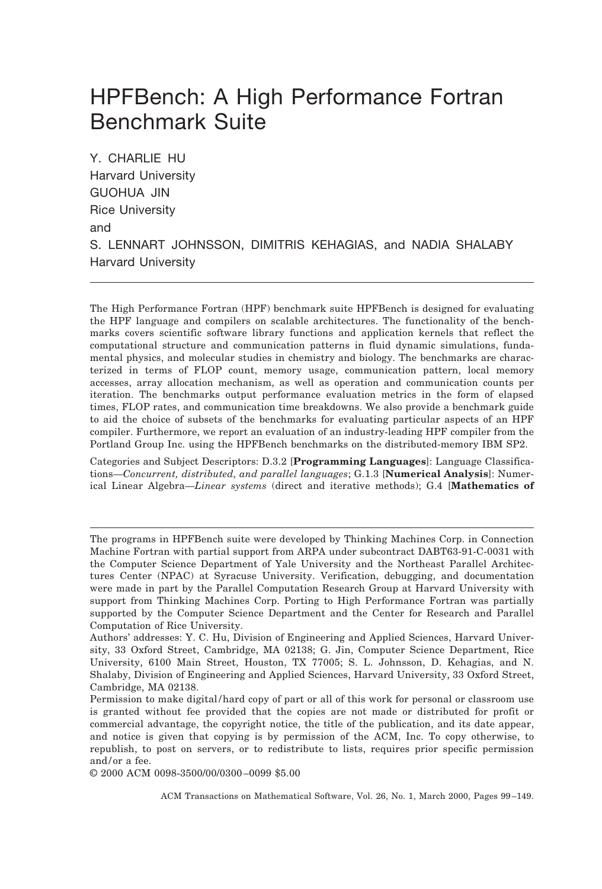# HPFBench: A High Performance Fortran Benchmark Suite

Y. CHARLIE HU Harvard University GUOHUA JIN Rice University and S. LENNART JOHNSSON, DIMITRIS KEHAGIAS, and NADIA SHALABY Harvard University

The High Performance Fortran (HPF) benchmark suite HPFBench is designed for evaluating the HPF language and compilers on scalable architectures. The functionality of the benchmarks covers scientific software library functions and application kernels that reflect the computational structure and communication patterns in fluid dynamic simulations, fundamental physics, and molecular studies in chemistry and biology. The benchmarks are characterized in terms of FLOP count, memory usage, communication pattern, local memory accesses, array allocation mechanism, as well as operation and communication counts per iteration. The benchmarks output performance evaluation metrics in the form of elapsed times, FLOP rates, and communication time breakdowns. We also provide a benchmark guide to aid the choice of subsets of the benchmarks for evaluating particular aspects of an HPF compiler. Furthermore, we report an evaluation of an industry-leading HPF compiler from the Portland Group Inc. using the HPFBench benchmarks on the distributed-memory IBM SP2.

Categories and Subject Descriptors: D.3.2 [**Programming Languages**]: Language Classifications—*Concurrent, distributed, and parallel languages*; G.1.3 [**Numerical Analysis**]: Numerical Linear Algebra—*Linear systems* (direct and iterative methods); G.4 [**Mathematics of**

© 2000 ACM 0098-3500/00/0300–0099 \$5.00

The programs in HPFBench suite were developed by Thinking Machines Corp. in Connection Machine Fortran with partial support from ARPA under subcontract DABT63-91-C-0031 with the Computer Science Department of Yale University and the Northeast Parallel Architectures Center (NPAC) at Syracuse University. Verification, debugging, and documentation were made in part by the Parallel Computation Research Group at Harvard University with support from Thinking Machines Corp. Porting to High Performance Fortran was partially supported by the Computer Science Department and the Center for Research and Parallel Computation of Rice University.

Authors' addresses: Y. C. Hu, Division of Engineering and Applied Sciences, Harvard University, 33 Oxford Street, Cambridge, MA 02138; G. Jin, Computer Science Department, Rice University, 6100 Main Street, Houston, TX 77005; S. L. Johnsson, D. Kehagias, and N. Shalaby, Division of Engineering and Applied Sciences, Harvard University, 33 Oxford Street, Cambridge, MA 02138.

Permission to make digital/hard copy of part or all of this work for personal or classroom use is granted without fee provided that the copies are not made or distributed for profit or commercial advantage, the copyright notice, the title of the publication, and its date appear, and notice is given that copying is by permission of the ACM, Inc. To copy otherwise, to republish, to post on servers, or to redistribute to lists, requires prior specific permission and/or a fee.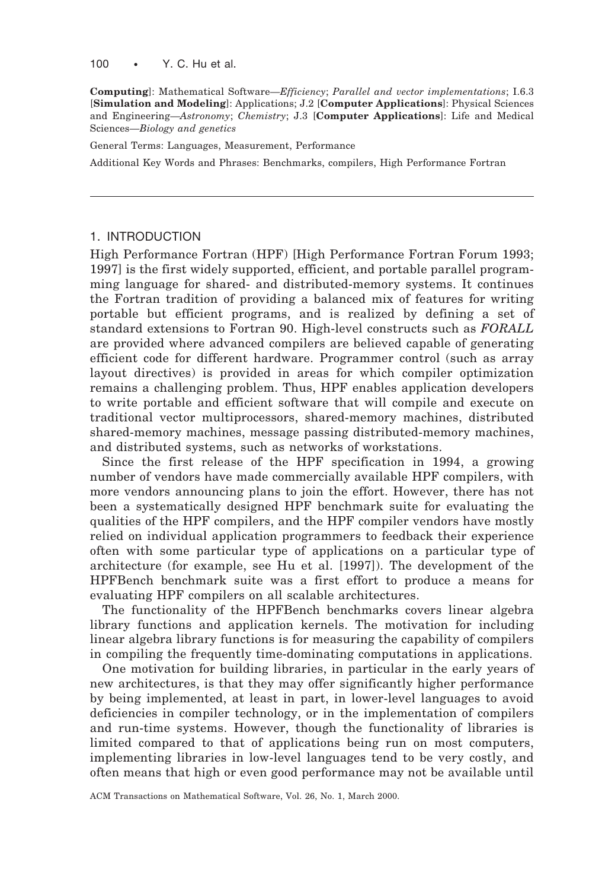100 • Y. C. Hu et al.

**Computing**]: Mathematical Software—*Efficiency*; *Parallel and vector implementations*; I.6.3 [**Simulation and Modeling**]: Applications; J.2 [**Computer Applications**]: Physical Sciences and Engineering—*Astronomy*; *Chemistry*; J.3 [**Computer Applications**]: Life and Medical Sciences—*Biology and genetics*

General Terms: Languages, Measurement, Performance

Additional Key Words and Phrases: Benchmarks, compilers, High Performance Fortran

### 1. INTRODUCTION

High Performance Fortran (HPF) [High Performance Fortran Forum 1993; 1997] is the first widely supported, efficient, and portable parallel programming language for shared- and distributed-memory systems. It continues the Fortran tradition of providing a balanced mix of features for writing portable but efficient programs, and is realized by defining a set of standard extensions to Fortran 90. High-level constructs such as *FORALL* are provided where advanced compilers are believed capable of generating efficient code for different hardware. Programmer control (such as array layout directives) is provided in areas for which compiler optimization remains a challenging problem. Thus, HPF enables application developers to write portable and efficient software that will compile and execute on traditional vector multiprocessors, shared-memory machines, distributed shared-memory machines, message passing distributed-memory machines, and distributed systems, such as networks of workstations.

Since the first release of the HPF specification in 1994, a growing number of vendors have made commercially available HPF compilers, with more vendors announcing plans to join the effort. However, there has not been a systematically designed HPF benchmark suite for evaluating the qualities of the HPF compilers, and the HPF compiler vendors have mostly relied on individual application programmers to feedback their experience often with some particular type of applications on a particular type of architecture (for example, see Hu et al. [1997]). The development of the HPFBench benchmark suite was a first effort to produce a means for evaluating HPF compilers on all scalable architectures.

The functionality of the HPFBench benchmarks covers linear algebra library functions and application kernels. The motivation for including linear algebra library functions is for measuring the capability of compilers in compiling the frequently time-dominating computations in applications.

One motivation for building libraries, in particular in the early years of new architectures, is that they may offer significantly higher performance by being implemented, at least in part, in lower-level languages to avoid deficiencies in compiler technology, or in the implementation of compilers and run-time systems. However, though the functionality of libraries is limited compared to that of applications being run on most computers, implementing libraries in low-level languages tend to be very costly, and often means that high or even good performance may not be available until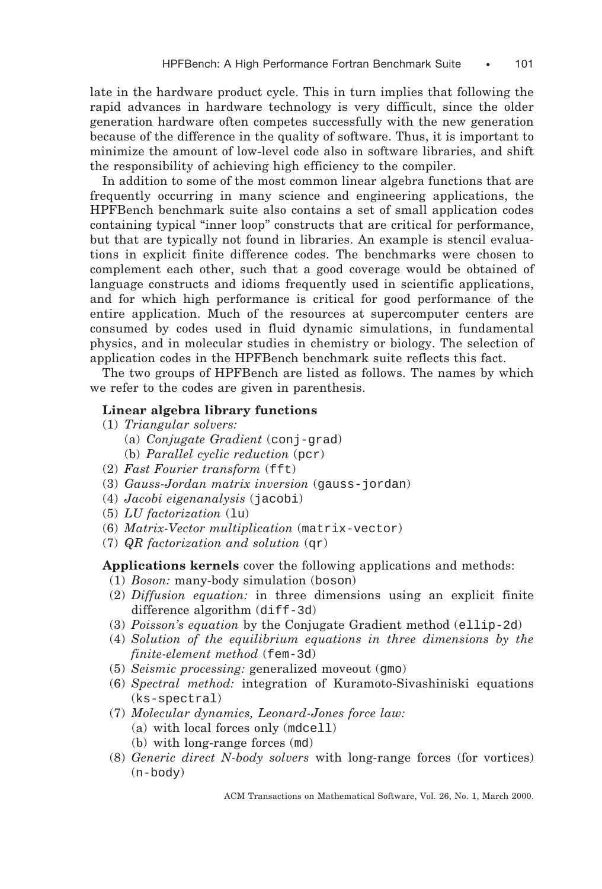late in the hardware product cycle. This in turn implies that following the rapid advances in hardware technology is very difficult, since the older generation hardware often competes successfully with the new generation because of the difference in the quality of software. Thus, it is important to minimize the amount of low-level code also in software libraries, and shift the responsibility of achieving high efficiency to the compiler.

In addition to some of the most common linear algebra functions that are frequently occurring in many science and engineering applications, the HPFBench benchmark suite also contains a set of small application codes containing typical "inner loop" constructs that are critical for performance, but that are typically not found in libraries. An example is stencil evaluations in explicit finite difference codes. The benchmarks were chosen to complement each other, such that a good coverage would be obtained of language constructs and idioms frequently used in scientific applications, and for which high performance is critical for good performance of the entire application. Much of the resources at supercomputer centers are consumed by codes used in fluid dynamic simulations, in fundamental physics, and in molecular studies in chemistry or biology. The selection of application codes in the HPFBench benchmark suite reflects this fact.

The two groups of HPFBench are listed as follows. The names by which we refer to the codes are given in parenthesis.

## **Linear algebra library functions**

- (1) *Triangular solvers:*
	- (a) *Conjugate Gradient* (conj-grad)
	- (b) *Parallel cyclic reduction* (pcr)
- (2) *Fast Fourier transform* (fft)
- (3) *Gauss-Jordan matrix inversion* (gauss-jordan)
- (4) *Jacobi eigenanalysis* (jacobi)
- (5) *LU factorization* (lu)
- (6) *Matrix-Vector multiplication* (matrix-vector)
- (7) *QR factorization and solution* (qr)

**Applications kernels** cover the following applications and methods:

- (1) *Boson:* many-body simulation (boson)
- (2) *Diffusion equation:* in three dimensions using an explicit finite difference algorithm (diff-3d)
- (3) *Poisson's equation* by the Conjugate Gradient method (ellip-2d)
- (4) *Solution of the equilibrium equations in three dimensions by the finite-element method* (fem-3d)
- (5) *Seismic processing:* generalized moveout (gmo)
- (6) *Spectral method:* integration of Kuramoto-Sivashiniski equations (ks-spectral)
- (7) *Molecular dynamics, Leonard-Jones force law:*
	- (a) with local forces only (mdcell)
	- (b) with long-range forces (md)
- (8) *Generic direct N-body solvers* with long-range forces (for vortices) (n-body)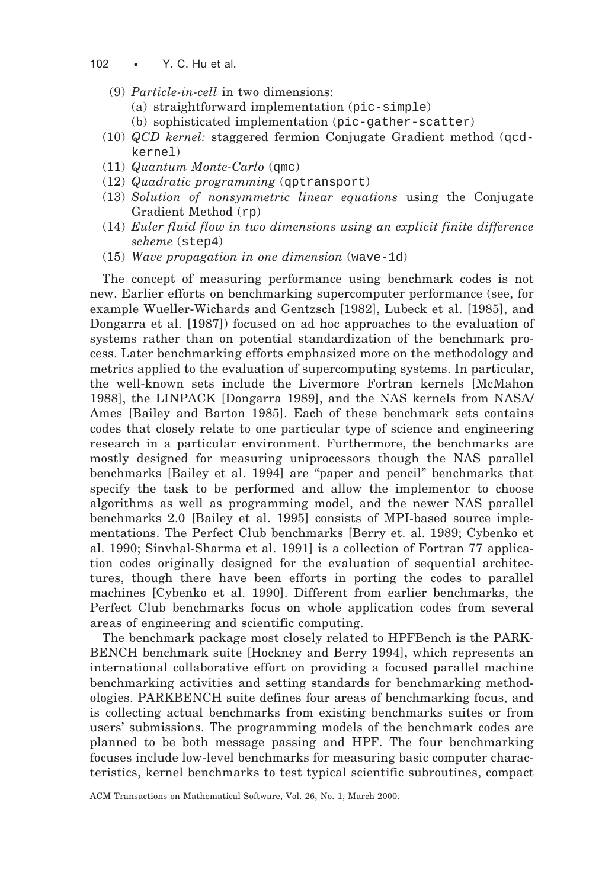102 • Y. C. Hu et al.

- (9) *Particle-in-cell* in two dimensions: (a) straightforward implementation (pic-simple)
	- (b) sophisticated implementation (pic-gather-scatter)
- (10) *QCD kernel:* staggered fermion Conjugate Gradient method (qcdkernel)
- (11) *Quantum Monte-Carlo* (qmc)
- (12) *Quadratic programming* (qptransport)
- (13) *Solution of nonsymmetric linear equations* using the Conjugate Gradient Method (rp)
- (14) *Euler fluid flow in two dimensions using an explicit finite difference scheme* (step4)
- (15) *Wave propagation in one dimension* (wave-1d)

The concept of measuring performance using benchmark codes is not new. Earlier efforts on benchmarking supercomputer performance (see, for example Wueller-Wichards and Gentzsch [1982], Lubeck et al. [1985], and Dongarra et al. [1987]) focused on ad hoc approaches to the evaluation of systems rather than on potential standardization of the benchmark process. Later benchmarking efforts emphasized more on the methodology and metrics applied to the evaluation of supercomputing systems. In particular, the well-known sets include the Livermore Fortran kernels [McMahon 1988], the LINPACK [Dongarra 1989], and the NAS kernels from NASA/ Ames [Bailey and Barton 1985]. Each of these benchmark sets contains codes that closely relate to one particular type of science and engineering research in a particular environment. Furthermore, the benchmarks are mostly designed for measuring uniprocessors though the NAS parallel benchmarks [Bailey et al. 1994] are "paper and pencil" benchmarks that specify the task to be performed and allow the implementor to choose algorithms as well as programming model, and the newer NAS parallel benchmarks 2.0 [Bailey et al. 1995] consists of MPI-based source implementations. The Perfect Club benchmarks [Berry et. al. 1989; Cybenko et al. 1990; Sinvhal-Sharma et al. 1991] is a collection of Fortran 77 application codes originally designed for the evaluation of sequential architectures, though there have been efforts in porting the codes to parallel machines [Cybenko et al. 1990]. Different from earlier benchmarks, the Perfect Club benchmarks focus on whole application codes from several areas of engineering and scientific computing.

The benchmark package most closely related to HPFBench is the PARK-BENCH benchmark suite [Hockney and Berry 1994], which represents an international collaborative effort on providing a focused parallel machine benchmarking activities and setting standards for benchmarking methodologies. PARKBENCH suite defines four areas of benchmarking focus, and is collecting actual benchmarks from existing benchmarks suites or from users' submissions. The programming models of the benchmark codes are planned to be both message passing and HPF. The four benchmarking focuses include low-level benchmarks for measuring basic computer characteristics, kernel benchmarks to test typical scientific subroutines, compact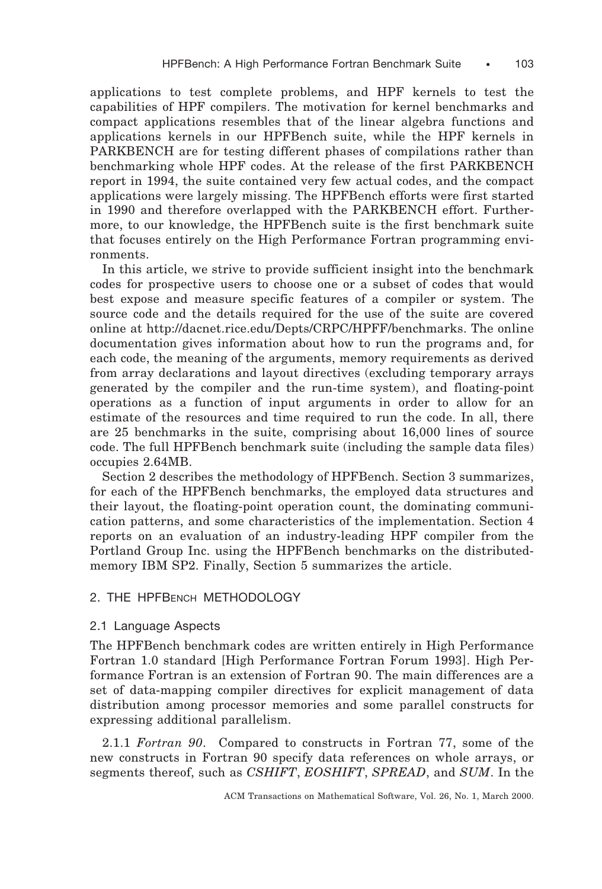applications to test complete problems, and HPF kernels to test the capabilities of HPF compilers. The motivation for kernel benchmarks and compact applications resembles that of the linear algebra functions and applications kernels in our HPFBench suite, while the HPF kernels in PARKBENCH are for testing different phases of compilations rather than benchmarking whole HPF codes. At the release of the first PARKBENCH report in 1994, the suite contained very few actual codes, and the compact applications were largely missing. The HPFBench efforts were first started in 1990 and therefore overlapped with the PARKBENCH effort. Furthermore, to our knowledge, the HPFBench suite is the first benchmark suite that focuses entirely on the High Performance Fortran programming environments.

In this article, we strive to provide sufficient insight into the benchmark codes for prospective users to choose one or a subset of codes that would best expose and measure specific features of a compiler or system. The source code and the details required for the use of the suite are covered online at http://dacnet.rice.edu/Depts/CRPC/HPFF/benchmarks. The online documentation gives information about how to run the programs and, for each code, the meaning of the arguments, memory requirements as derived from array declarations and layout directives (excluding temporary arrays generated by the compiler and the run-time system), and floating-point operations as a function of input arguments in order to allow for an estimate of the resources and time required to run the code. In all, there are 25 benchmarks in the suite, comprising about 16,000 lines of source code. The full HPFBench benchmark suite (including the sample data files) occupies 2.64MB.

Section 2 describes the methodology of HPFBench. Section 3 summarizes, for each of the HPFBench benchmarks, the employed data structures and their layout, the floating-point operation count, the dominating communication patterns, and some characteristics of the implementation. Section 4 reports on an evaluation of an industry-leading HPF compiler from the Portland Group Inc. using the HPFBench benchmarks on the distributedmemory IBM SP2. Finally, Section 5 summarizes the article.

## 2. THE HPFBENCH METHODOLOGY

## 2.1 Language Aspects

The HPFBench benchmark codes are written entirely in High Performance Fortran 1.0 standard [High Performance Fortran Forum 1993]. High Performance Fortran is an extension of Fortran 90. The main differences are a set of data-mapping compiler directives for explicit management of data distribution among processor memories and some parallel constructs for expressing additional parallelism.

2.1.1 *Fortran 90*. Compared to constructs in Fortran 77, some of the new constructs in Fortran 90 specify data references on whole arrays, or segments thereof, such as *CSHIFT*, *EOSHIFT*, *SPREAD*, and *SUM*. In the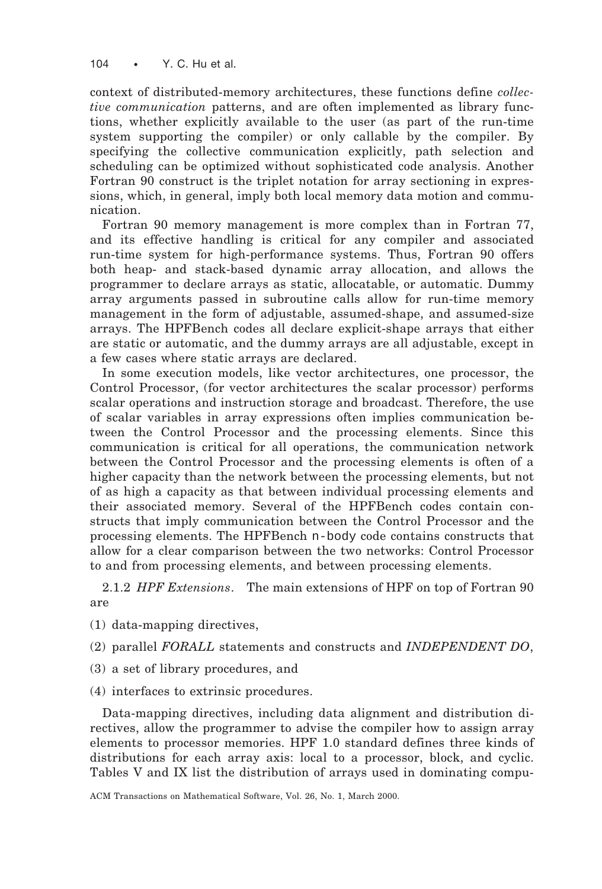context of distributed-memory architectures, these functions define *collective communication* patterns, and are often implemented as library functions, whether explicitly available to the user (as part of the run-time system supporting the compiler) or only callable by the compiler. By specifying the collective communication explicitly, path selection and scheduling can be optimized without sophisticated code analysis. Another Fortran 90 construct is the triplet notation for array sectioning in expressions, which, in general, imply both local memory data motion and communication.

Fortran 90 memory management is more complex than in Fortran 77, and its effective handling is critical for any compiler and associated run-time system for high-performance systems. Thus, Fortran 90 offers both heap- and stack-based dynamic array allocation, and allows the programmer to declare arrays as static, allocatable, or automatic. Dummy array arguments passed in subroutine calls allow for run-time memory management in the form of adjustable, assumed-shape, and assumed-size arrays. The HPFBench codes all declare explicit-shape arrays that either are static or automatic, and the dummy arrays are all adjustable, except in a few cases where static arrays are declared.

In some execution models, like vector architectures, one processor, the Control Processor, (for vector architectures the scalar processor) performs scalar operations and instruction storage and broadcast. Therefore, the use of scalar variables in array expressions often implies communication between the Control Processor and the processing elements. Since this communication is critical for all operations, the communication network between the Control Processor and the processing elements is often of a higher capacity than the network between the processing elements, but not of as high a capacity as that between individual processing elements and their associated memory. Several of the HPFBench codes contain constructs that imply communication between the Control Processor and the processing elements. The HPFBench n-body code contains constructs that allow for a clear comparison between the two networks: Control Processor to and from processing elements, and between processing elements.

2.1.2 *HPF Extensions*. The main extensions of HPF on top of Fortran 90 are

- (1) data-mapping directives,
- (2) parallel *FORALL* statements and constructs and *INDEPENDENT DO*,
- (3) a set of library procedures, and
- (4) interfaces to extrinsic procedures.

Data-mapping directives, including data alignment and distribution directives, allow the programmer to advise the compiler how to assign array elements to processor memories. HPF 1.0 standard defines three kinds of distributions for each array axis: local to a processor, block, and cyclic. Tables V and IX list the distribution of arrays used in dominating compu-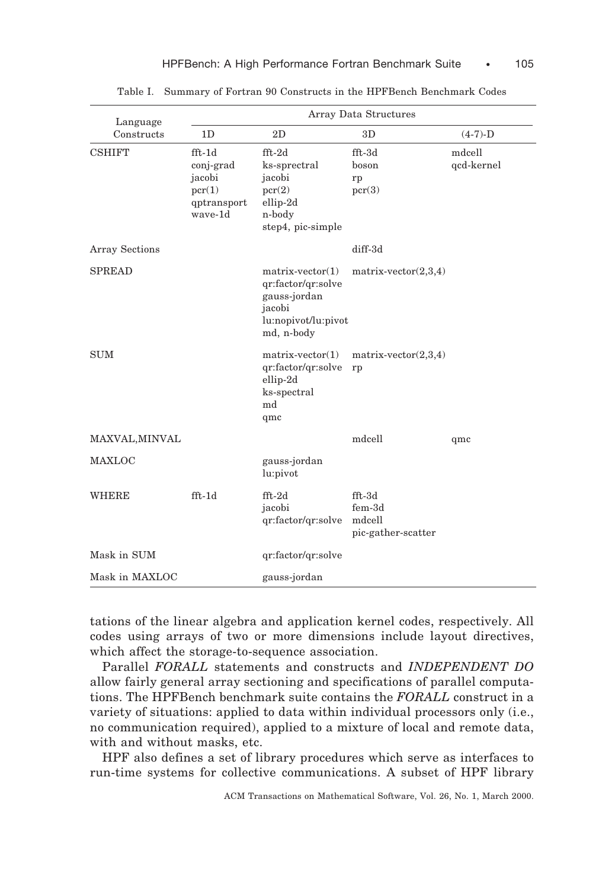| Language       | Array Data Structures                                                       |                                                                                                         |                                                    |                      |
|----------------|-----------------------------------------------------------------------------|---------------------------------------------------------------------------------------------------------|----------------------------------------------------|----------------------|
| Constructs     | 1D                                                                          | 2D                                                                                                      | 3D                                                 | $(4-7)-D$            |
| <b>CSHIFT</b>  | $ft-1d$<br>conj-grad<br>jacobi<br>$\text{pcr}(1)$<br>qptransport<br>wave-1d | $fft-2d$<br>ks-sprectral<br>jacobi<br>$\text{pcr}(2)$<br>ellip-2d<br>n-body<br>step4, pic-simple        | $ft-3d$<br>boson<br>rp<br>$\text{pcr}(3)$          | mdcell<br>qcd-kernel |
| Array Sections |                                                                             |                                                                                                         | diff-3d                                            |                      |
| <b>SPREAD</b>  |                                                                             | $matrix-vector(1)$<br>qr:factor/qr:solve<br>gauss-jordan<br>jacobi<br>lu:nopivot/lu:pivot<br>md, n-body | $matrix-vector(2,3,4)$                             |                      |
| <b>SUM</b>     |                                                                             | $matrix-vector(1)$<br>qr:factor/qr:solve<br>ellip-2d<br>ks-spectral<br>md<br>qmc                        | $matrix-vector(2,3,4)$<br>rp                       |                      |
| MAXVAL, MINVAL |                                                                             |                                                                                                         | mdcell                                             | qmc                  |
| <b>MAXLOC</b>  |                                                                             | gauss-jordan<br>lu:pivot                                                                                |                                                    |                      |
| <b>WHERE</b>   | $fft-1d$                                                                    | $ft-2d$<br>jacobi<br>qr:factor/qr:solve                                                                 | $fft-3d$<br>fem-3d<br>mdcell<br>pic-gather-scatter |                      |
| Mask in SUM    |                                                                             | qr:factor/qr:solve                                                                                      |                                                    |                      |
| Mask in MAXLOC |                                                                             | gauss-jordan                                                                                            |                                                    |                      |

Table I. Summary of Fortran 90 Constructs in the HPFBench Benchmark Codes

tations of the linear algebra and application kernel codes, respectively. All codes using arrays of two or more dimensions include layout directives, which affect the storage-to-sequence association.

Parallel *FORALL* statements and constructs and *INDEPENDENT DO* allow fairly general array sectioning and specifications of parallel computations. The HPFBench benchmark suite contains the *FORALL* construct in a variety of situations: applied to data within individual processors only (i.e., no communication required), applied to a mixture of local and remote data, with and without masks, etc.

HPF also defines a set of library procedures which serve as interfaces to run-time systems for collective communications. A subset of HPF library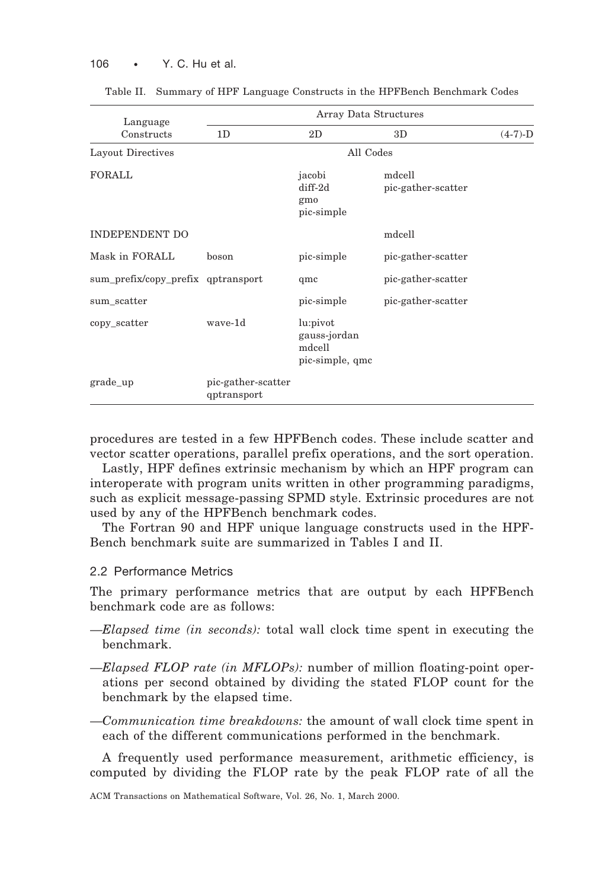#### 106 • Y. C. Hu et al.

| Language                           | Array Data Structures             |                                                       |                              |           |  |
|------------------------------------|-----------------------------------|-------------------------------------------------------|------------------------------|-----------|--|
| Constructs                         | 1D                                | 2D                                                    | 3D                           | $(4-7)-D$ |  |
| <b>Layout Directives</b>           |                                   | All Codes                                             |                              |           |  |
| <b>FORALL</b>                      |                                   | jacobi<br>diff-2d<br>gmo<br>pic-simple                | mdcell<br>pic-gather-scatter |           |  |
| <b>INDEPENDENT DO</b>              |                                   |                                                       | mdcell                       |           |  |
| Mask in FORALL                     | boson                             | pic-simple                                            | pic-gather-scatter           |           |  |
| sum_prefix/copy_prefix qptransport |                                   | qmc                                                   | pic-gather-scatter           |           |  |
| sum_scatter                        |                                   | pic-simple                                            | pic-gather-scatter           |           |  |
| copy_scatter                       | wave-1d                           | lu:pivot<br>gauss-jordan<br>mdcell<br>pic-simple, qmc |                              |           |  |
| grade_up                           | pic-gather-scatter<br>qptransport |                                                       |                              |           |  |

Table II. Summary of HPF Language Constructs in the HPFBench Benchmark Codes

procedures are tested in a few HPFBench codes. These include scatter and vector scatter operations, parallel prefix operations, and the sort operation.

Lastly, HPF defines extrinsic mechanism by which an HPF program can interoperate with program units written in other programming paradigms, such as explicit message-passing SPMD style. Extrinsic procedures are not used by any of the HPFBench benchmark codes.

The Fortran 90 and HPF unique language constructs used in the HPF-Bench benchmark suite are summarized in Tables I and II.

#### 2.2 Performance Metrics

The primary performance metrics that are output by each HPFBench benchmark code are as follows:

- —*Elapsed time (in seconds):* total wall clock time spent in executing the benchmark.
- —*Elapsed FLOP rate (in MFLOPs):* number of million floating-point operations per second obtained by dividing the stated FLOP count for the benchmark by the elapsed time.
- —*Communication time breakdowns:* the amount of wall clock time spent in each of the different communications performed in the benchmark.

A frequently used performance measurement, arithmetic efficiency, is computed by dividing the FLOP rate by the peak FLOP rate of all the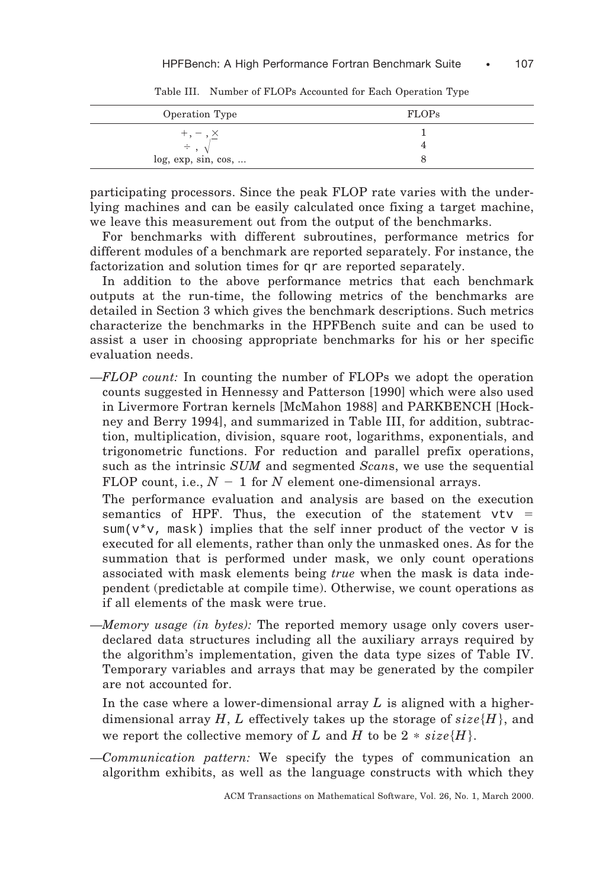| Operation Type      | <b>FLOPs</b> |
|---------------------|--------------|
| $+,-, \times$       |              |
| $\div$ .            |              |
| log, exp, sin, cos, |              |

Table III. Number of FLOPs Accounted for Each Operation Type

participating processors. Since the peak FLOP rate varies with the underlying machines and can be easily calculated once fixing a target machine, we leave this measurement out from the output of the benchmarks.

For benchmarks with different subroutines, performance metrics for different modules of a benchmark are reported separately. For instance, the factorization and solution times for qr are reported separately.

In addition to the above performance metrics that each benchmark outputs at the run-time, the following metrics of the benchmarks are detailed in Section 3 which gives the benchmark descriptions. Such metrics characterize the benchmarks in the HPFBench suite and can be used to assist a user in choosing appropriate benchmarks for his or her specific evaluation needs.

—*FLOP count:* In counting the number of FLOPs we adopt the operation counts suggested in Hennessy and Patterson [1990] which were also used in Livermore Fortran kernels [McMahon 1988] and PARKBENCH [Hockney and Berry 1994], and summarized in Table III, for addition, subtraction, multiplication, division, square root, logarithms, exponentials, and trigonometric functions. For reduction and parallel prefix operations, such as the intrinsic *SUM* and segmented *Scan*s, we use the sequential FLOP count, i.e.,  $N-1$  for  $N$  element one-dimensional arrays.

The performance evaluation and analysis are based on the execution semantics of HPF. Thus, the execution of the statement  $vtv =$ sum( $v * v$ , mask) implies that the self inner product of the vector v is executed for all elements, rather than only the unmasked ones. As for the summation that is performed under mask, we only count operations associated with mask elements being *true* when the mask is data independent (predictable at compile time). Otherwise, we count operations as if all elements of the mask were true.

—*Memory usage (in bytes):* The reported memory usage only covers userdeclared data structures including all the auxiliary arrays required by the algorithm's implementation, given the data type sizes of Table IV. Temporary variables and arrays that may be generated by the compiler are not accounted for.

In the case where a lower-dimensional array *L* is aligned with a higherdimensional array *H*, *L* effectively takes up the storage of  $size\{H\}$ , and we report the collective memory of *L* and *H* to be  $2 * size\{H\}$ .

—*Communication pattern:* We specify the types of communication an algorithm exhibits, as well as the language constructs with which they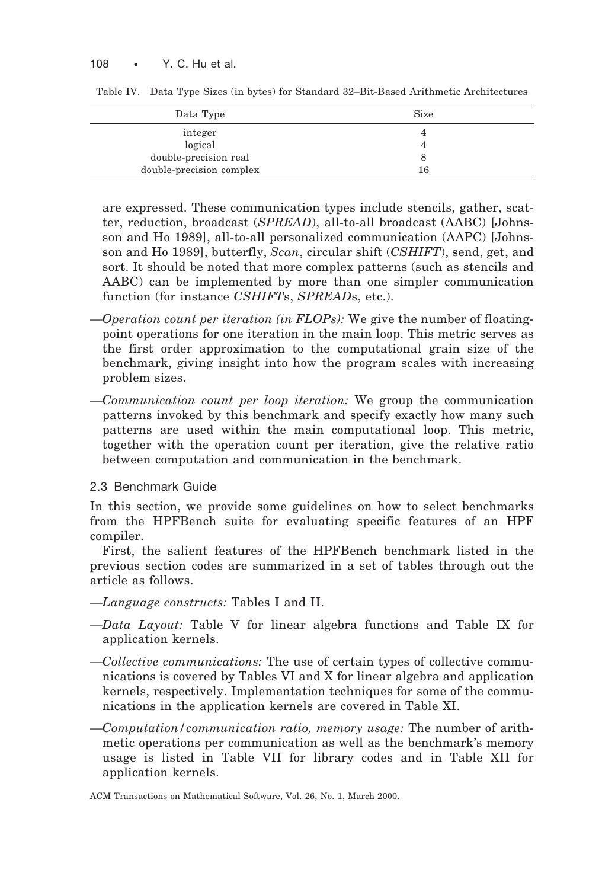#### 108 • Y. C. Hu et al.

| Data Type                                         | Size |
|---------------------------------------------------|------|
| integer<br>logical                                |      |
| double-precision real<br>double-precision complex | 16   |

Table IV. Data Type Sizes (in bytes) for Standard 32–Bit-Based Arithmetic Architectures

are expressed. These communication types include stencils, gather, scatter, reduction, broadcast (*SPREAD*), all-to-all broadcast (AABC) [Johnsson and Ho 1989], all-to-all personalized communication (AAPC) [Johnsson and Ho 1989], butterfly, *Scan*, circular shift (*CSHIFT*), send, get, and sort. It should be noted that more complex patterns (such as stencils and AABC) can be implemented by more than one simpler communication function (for instance *CSHIFT*s, *SPREAD*s, etc.).

- —*Operation count per iteration (in FLOPs):* We give the number of floatingpoint operations for one iteration in the main loop. This metric serves as the first order approximation to the computational grain size of the benchmark, giving insight into how the program scales with increasing problem sizes.
- —*Communication count per loop iteration:* We group the communication patterns invoked by this benchmark and specify exactly how many such patterns are used within the main computational loop. This metric, together with the operation count per iteration, give the relative ratio between computation and communication in the benchmark.

# 2.3 Benchmark Guide

In this section, we provide some guidelines on how to select benchmarks from the HPFBench suite for evaluating specific features of an HPF compiler.

First, the salient features of the HPFBench benchmark listed in the previous section codes are summarized in a set of tables through out the article as follows.

- —*Language constructs:* Tables I and II.
- —*Data Layout:* Table V for linear algebra functions and Table IX for application kernels.
- —*Collective communications:* The use of certain types of collective communications is covered by Tables VI and X for linear algebra and application kernels, respectively. Implementation techniques for some of the communications in the application kernels are covered in Table XI.
- —*Computation/communication ratio, memory usage:* The number of arithmetic operations per communication as well as the benchmark's memory usage is listed in Table VII for library codes and in Table XII for application kernels.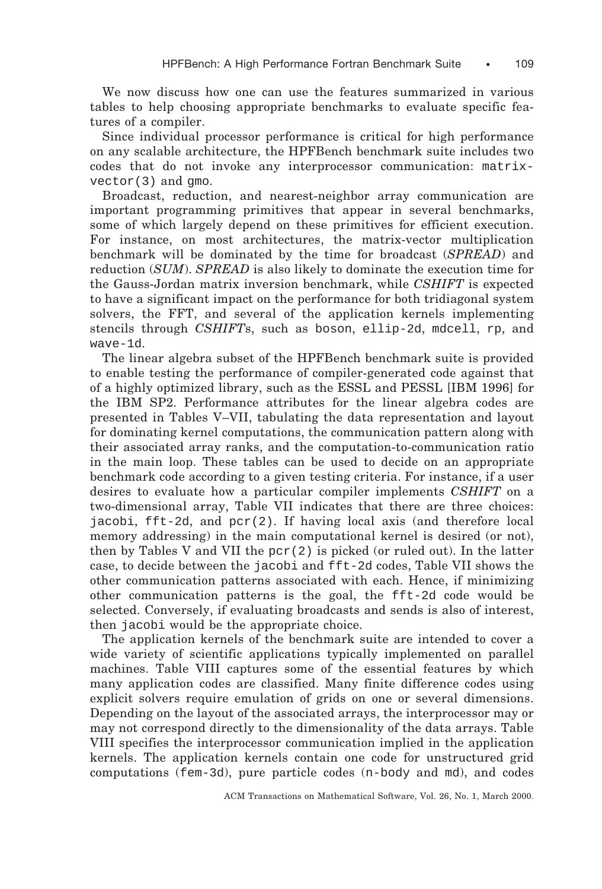We now discuss how one can use the features summarized in various tables to help choosing appropriate benchmarks to evaluate specific features of a compiler.

Since individual processor performance is critical for high performance on any scalable architecture, the HPFBench benchmark suite includes two codes that do not invoke any interprocessor communication: matrixvector(3) and gmo.

Broadcast, reduction, and nearest-neighbor array communication are important programming primitives that appear in several benchmarks, some of which largely depend on these primitives for efficient execution. For instance, on most architectures, the matrix-vector multiplication benchmark will be dominated by the time for broadcast (*SPREAD*) and reduction (*SUM*). *SPREAD* is also likely to dominate the execution time for the Gauss-Jordan matrix inversion benchmark, while *CSHIFT* is expected to have a significant impact on the performance for both tridiagonal system solvers, the FFT, and several of the application kernels implementing stencils through *CSHIFT*s, such as boson, ellip-2d, mdcell, rp, and wave-1d.

The linear algebra subset of the HPFBench benchmark suite is provided to enable testing the performance of compiler-generated code against that of a highly optimized library, such as the ESSL and PESSL [IBM 1996] for the IBM SP2. Performance attributes for the linear algebra codes are presented in Tables V–VII, tabulating the data representation and layout for dominating kernel computations, the communication pattern along with their associated array ranks, and the computation-to-communication ratio in the main loop. These tables can be used to decide on an appropriate benchmark code according to a given testing criteria. For instance, if a user desires to evaluate how a particular compiler implements *CSHIFT* on a two-dimensional array, Table VII indicates that there are three choices: jacobi,  $fft-2d$ , and  $per(2)$ . If having local axis (and therefore local memory addressing) in the main computational kernel is desired (or not), then by Tables V and VII the  $pcr(2)$  is picked (or ruled out). In the latter case, to decide between the jacobi and fft-2d codes, Table VII shows the other communication patterns associated with each. Hence, if minimizing other communication patterns is the goal, the fft-2d code would be selected. Conversely, if evaluating broadcasts and sends is also of interest, then jacobi would be the appropriate choice.

The application kernels of the benchmark suite are intended to cover a wide variety of scientific applications typically implemented on parallel machines. Table VIII captures some of the essential features by which many application codes are classified. Many finite difference codes using explicit solvers require emulation of grids on one or several dimensions. Depending on the layout of the associated arrays, the interprocessor may or may not correspond directly to the dimensionality of the data arrays. Table VIII specifies the interprocessor communication implied in the application kernels. The application kernels contain one code for unstructured grid computations (fem-3d), pure particle codes (n-body and md), and codes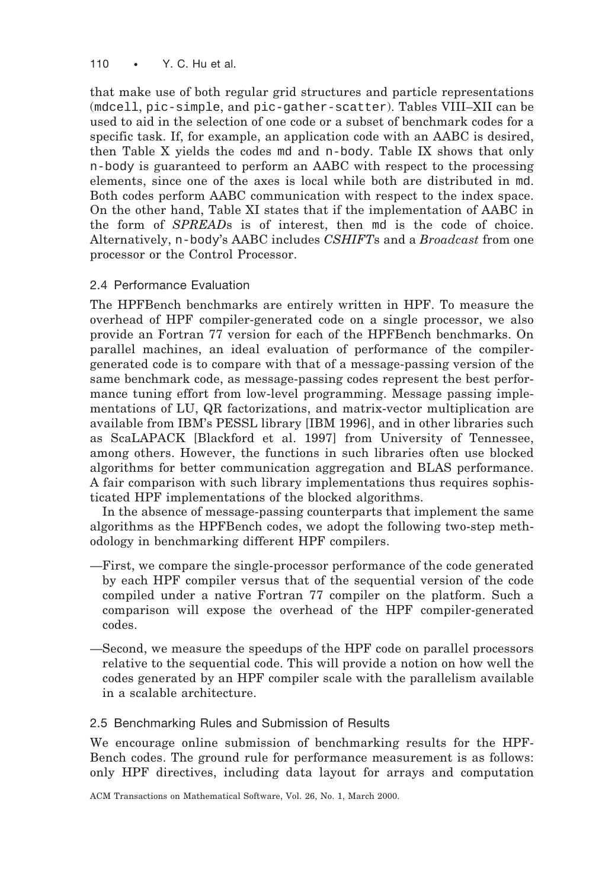# 110 • Y. C. Hu et al.

that make use of both regular grid structures and particle representations (mdcell, pic-simple, and pic-gather-scatter). Tables VIII–XII can be used to aid in the selection of one code or a subset of benchmark codes for a specific task. If, for example, an application code with an AABC is desired, then Table X yields the codes md and n-body. Table IX shows that only n-body is guaranteed to perform an AABC with respect to the processing elements, since one of the axes is local while both are distributed in md. Both codes perform AABC communication with respect to the index space. On the other hand, Table XI states that if the implementation of AABC in the form of *SPREAD*s is of interest, then md is the code of choice. Alternatively, n-body's AABC includes *CSHIFT*s and a *Broadcast* from one processor or the Control Processor.

# 2.4 Performance Evaluation

The HPFBench benchmarks are entirely written in HPF. To measure the overhead of HPF compiler-generated code on a single processor, we also provide an Fortran 77 version for each of the HPFBench benchmarks. On parallel machines, an ideal evaluation of performance of the compilergenerated code is to compare with that of a message-passing version of the same benchmark code, as message-passing codes represent the best performance tuning effort from low-level programming. Message passing implementations of LU, QR factorizations, and matrix-vector multiplication are available from IBM's PESSL library [IBM 1996], and in other libraries such as ScaLAPACK [Blackford et al. 1997] from University of Tennessee, among others. However, the functions in such libraries often use blocked algorithms for better communication aggregation and BLAS performance. A fair comparison with such library implementations thus requires sophisticated HPF implementations of the blocked algorithms.

In the absence of message-passing counterparts that implement the same algorithms as the HPFBench codes, we adopt the following two-step methodology in benchmarking different HPF compilers.

- —First, we compare the single-processor performance of the code generated by each HPF compiler versus that of the sequential version of the code compiled under a native Fortran 77 compiler on the platform. Such a comparison will expose the overhead of the HPF compiler-generated codes.
- —Second, we measure the speedups of the HPF code on parallel processors relative to the sequential code. This will provide a notion on how well the codes generated by an HPF compiler scale with the parallelism available in a scalable architecture.

# 2.5 Benchmarking Rules and Submission of Results

We encourage online submission of benchmarking results for the HPF-Bench codes. The ground rule for performance measurement is as follows: only HPF directives, including data layout for arrays and computation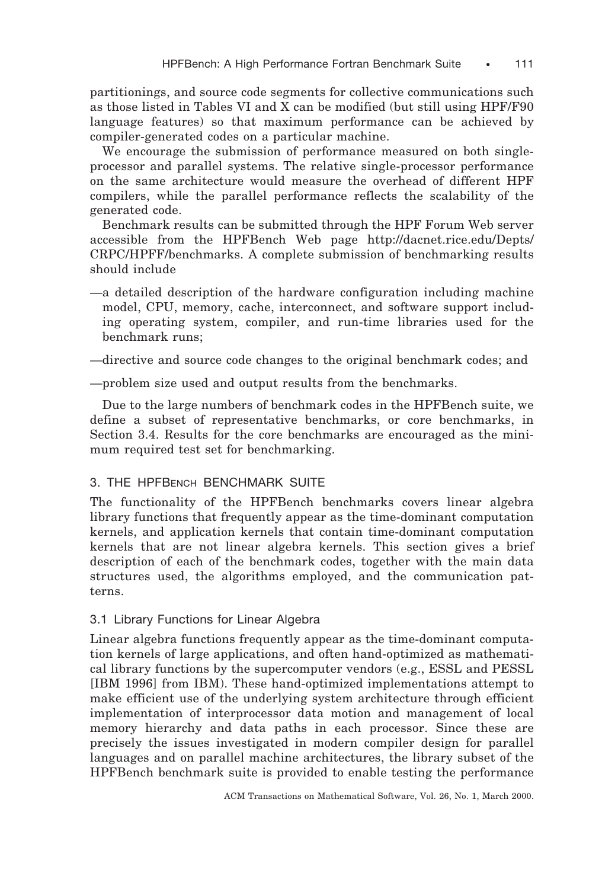partitionings, and source code segments for collective communications such as those listed in Tables VI and X can be modified (but still using HPF/F90 language features) so that maximum performance can be achieved by compiler-generated codes on a particular machine.

We encourage the submission of performance measured on both singleprocessor and parallel systems. The relative single-processor performance on the same architecture would measure the overhead of different HPF compilers, while the parallel performance reflects the scalability of the generated code.

Benchmark results can be submitted through the HPF Forum Web server accessible from the HPFBench Web page http://dacnet.rice.edu/Depts/ CRPC/HPFF/benchmarks. A complete submission of benchmarking results should include

—a detailed description of the hardware configuration including machine model, CPU, memory, cache, interconnect, and software support including operating system, compiler, and run-time libraries used for the benchmark runs;

—directive and source code changes to the original benchmark codes; and

—problem size used and output results from the benchmarks.

Due to the large numbers of benchmark codes in the HPFBench suite, we define a subset of representative benchmarks, or core benchmarks, in Section 3.4. Results for the core benchmarks are encouraged as the minimum required test set for benchmarking.

## 3. THE HPFBENCH BENCHMARK SUITE

The functionality of the HPFBench benchmarks covers linear algebra library functions that frequently appear as the time-dominant computation kernels, and application kernels that contain time-dominant computation kernels that are not linear algebra kernels. This section gives a brief description of each of the benchmark codes, together with the main data structures used, the algorithms employed, and the communication patterns.

## 3.1 Library Functions for Linear Algebra

Linear algebra functions frequently appear as the time-dominant computation kernels of large applications, and often hand-optimized as mathematical library functions by the supercomputer vendors (e.g., ESSL and PESSL [IBM 1996] from IBM). These hand-optimized implementations attempt to make efficient use of the underlying system architecture through efficient implementation of interprocessor data motion and management of local memory hierarchy and data paths in each processor. Since these are precisely the issues investigated in modern compiler design for parallel languages and on parallel machine architectures, the library subset of the HPFBench benchmark suite is provided to enable testing the performance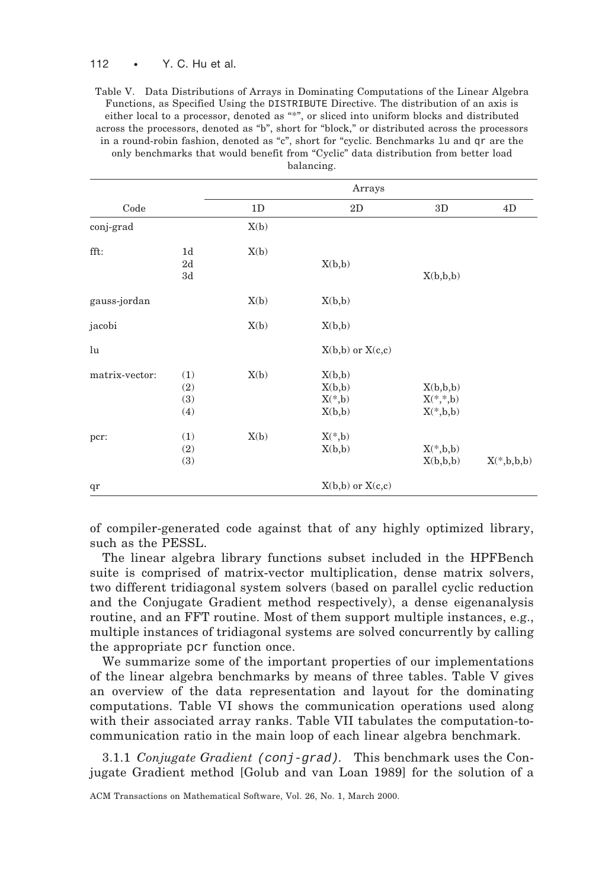Table V. Data Distributions of Arrays in Dominating Computations of the Linear Algebra Functions, as Specified Using the DISTRIBUTE Directive. The distribution of an axis is either local to a processor, denoted as "\*", or sliced into uniform blocks and distributed across the processors, denoted as "b", short for "block," or distributed across the processors in a round-robin fashion, denoted as "c", short for "cyclic. Benchmarks lu and qr are the only benchmarks that would benefit from "Cyclic" data distribution from better load balancing.

|                |                                     |      | Arrays                                 |                                      |              |
|----------------|-------------------------------------|------|----------------------------------------|--------------------------------------|--------------|
| Code           |                                     | 1D   | $2\mathrm{D}$                          | $3\mathrm{D}$                        | 4D           |
| conj-grad      |                                     | X(b) |                                        |                                      |              |
| fft:           | 1 <sub>d</sub><br>2d<br>$_{\rm 3d}$ | X(b) | X(b,b)                                 | X(b,b,b)                             |              |
| gauss-jordan   |                                     | X(b) | X(b,b)                                 |                                      |              |
| jacobi         |                                     | X(b) | X(b,b)                                 |                                      |              |
| lu             |                                     |      | $X(b,b)$ or $X(c,c)$                   |                                      |              |
| matrix-vector: | (1)<br>(2)<br>(3)<br>(4)            | X(b) | X(b,b)<br>X(b,b)<br>$X(*,b)$<br>X(b,b) | X(b,b,b)<br>$X(*,*,b)$<br>$X(*,b,b)$ |              |
| pcr:           | (1)<br>(2)<br>(3)                   | X(b) | $X(*,b)$<br>X(b,b)                     | $X(*,b,b)$<br>X(b,b,b)               | $X(*,b,b,b)$ |
| qr             |                                     |      | $X(b,b)$ or $X(c,c)$                   |                                      |              |

of compiler-generated code against that of any highly optimized library, such as the PESSL.

The linear algebra library functions subset included in the HPFBench suite is comprised of matrix-vector multiplication, dense matrix solvers, two different tridiagonal system solvers (based on parallel cyclic reduction and the Conjugate Gradient method respectively), a dense eigenanalysis routine, and an FFT routine. Most of them support multiple instances, e.g., multiple instances of tridiagonal systems are solved concurrently by calling the appropriate pcr function once.

We summarize some of the important properties of our implementations of the linear algebra benchmarks by means of three tables. Table V gives an overview of the data representation and layout for the dominating computations. Table VI shows the communication operations used along with their associated array ranks. Table VII tabulates the computation-tocommunication ratio in the main loop of each linear algebra benchmark.

3.1.1 *Conjugate Gradient* (conj-grad). This benchmark uses the Conjugate Gradient method [Golub and van Loan 1989] for the solution of a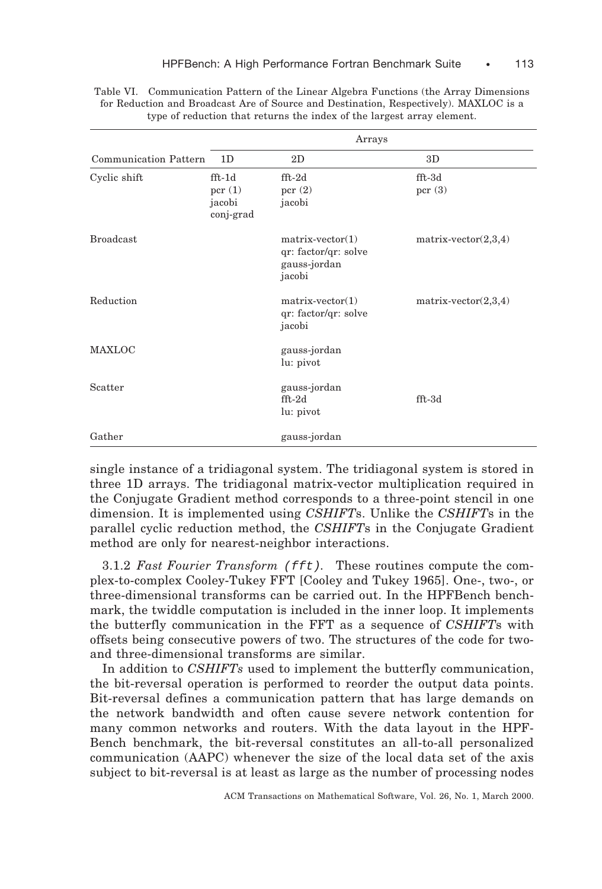|                       |                                                    | Arrays                                                               |                        |
|-----------------------|----------------------------------------------------|----------------------------------------------------------------------|------------------------|
| Communication Pattern | 1 <sub>D</sub>                                     | 2D                                                                   | 3D                     |
| Cyclic shift          | $ft-1d$<br>$\text{pcr} (1)$<br>jacobi<br>conj-grad | $ft-2d$<br>pcr $(2)$<br>jacobi                                       | $ft-3d$<br>pcr $(3)$   |
| <b>Broadcast</b>      |                                                    | $matrix-vector(1)$<br>qr: factor/qr: solve<br>gauss-jordan<br>jacobi | $matrix-vector(2,3,4)$ |
| Reduction             |                                                    | $matrix-vector(1)$<br>qr: factor/qr: solve<br>jacobi                 | $matrix-vector(2,3,4)$ |
| <b>MAXLOC</b>         |                                                    | gauss-jordan<br>lu: pivot                                            |                        |
| Scatter               |                                                    | gauss-jordan<br>$ft-2d$<br>lu: pivot                                 | fft-3d                 |
| Gather                |                                                    | gauss-jordan                                                         |                        |

Table VI. Communication Pattern of the Linear Algebra Functions (the Array Dimensions for Reduction and Broadcast Are of Source and Destination, Respectively). MAXLOC is a type of reduction that returns the index of the largest array element.

single instance of a tridiagonal system. The tridiagonal system is stored in three 1D arrays. The tridiagonal matrix-vector multiplication required in the Conjugate Gradient method corresponds to a three-point stencil in one dimension. It is implemented using *CSHIFT*s. Unlike the *CSHIFT*s in the parallel cyclic reduction method, the *CSHIFT*s in the Conjugate Gradient method are only for nearest-neighbor interactions.

3.1.2 *Fast Fourier Transform* (fft). These routines compute the complex-to-complex Cooley-Tukey FFT [Cooley and Tukey 1965]. One-, two-, or three-dimensional transforms can be carried out. In the HPFBench benchmark, the twiddle computation is included in the inner loop. It implements the butterfly communication in the FFT as a sequence of *CSHIFT*s with offsets being consecutive powers of two. The structures of the code for twoand three-dimensional transforms are similar.

In addition to *CSHIFTs* used to implement the butterfly communication, the bit-reversal operation is performed to reorder the output data points. Bit-reversal defines a communication pattern that has large demands on the network bandwidth and often cause severe network contention for many common networks and routers. With the data layout in the HPF-Bench benchmark, the bit-reversal constitutes an all-to-all personalized communication (AAPC) whenever the size of the local data set of the axis subject to bit-reversal is at least as large as the number of processing nodes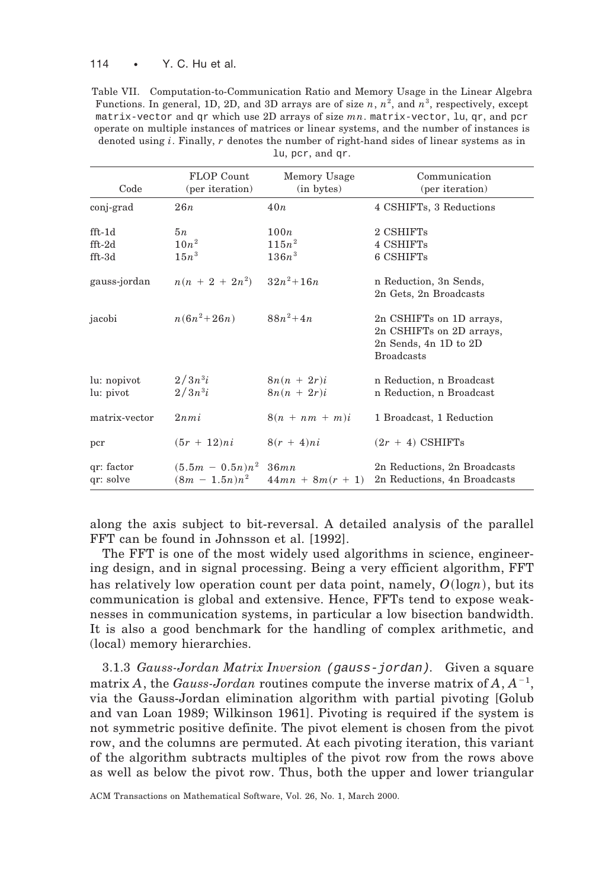Table VII. Computation-to-Communication Ratio and Memory Usage in the Linear Algebra Functions. In general, 1D, 2D, and 3D arrays are of size  $n$ ,  $n^2$ , and  $n^3$ , respectively, except matrix-vector and qr which use 2D arrays of size *mn*. matrix-vector, lu, qr, and pcr operate on multiple instances of matrices or linear systems, and the number of instances is denoted using *i*. Finally, *r* denotes the number of right-hand sides of linear systems as in lu, pcr, and qr.

| Code                     | FLOP Count<br>(per iteration) | Memory Usage<br>(in bytes)   | Communication<br>(per iteration)                                                                   |
|--------------------------|-------------------------------|------------------------------|----------------------------------------------------------------------------------------------------|
| conj-grad                | 26n                           | 40n                          | 4 CSHIFTs, 3 Reductions                                                                            |
| $fft-1d$<br>$ft-2d$      | 5n<br>$10n^2$                 | 100n<br>$115n^2$             | 2 CSHIFTs<br>4 CSHIFTs                                                                             |
| fft-3d                   | $15n^3$                       | $136n^3$                     | 6 CSHIFTs                                                                                          |
| gauss-jordan             | $n(n + 2 + 2n^2)$             | $32n^2+16n$                  | n Reduction, 3n Sends,<br>2n Gets, 2n Broadcasts                                                   |
| jacobi                   | $n(6n^2+26n)$                 | $88n^2 + 4n$                 | 2n CSHIFTs on 1D arrays,<br>2n CSHIFTs on 2D arrays,<br>2n Sends, 4n 1D to 2D<br><b>Broadcasts</b> |
| lu: nopivot<br>lu: pivot | $2/3n^3i$<br>$2/3n^3i$        | $8n(n+2r)i$<br>$8n(n + 2r)i$ | n Reduction, n Broadcast<br>n Reduction, n Broadcast                                               |
| matrix-vector            | 2nmi                          | $8(n + nm + m)i$             | 1 Broadcast, 1 Reduction                                                                           |
| pcr                      | $(5r + 12)ni$                 | $8(r + 4)ni$                 | $(2r + 4)$ CSHIFTs                                                                                 |
| qr: factor<br>qr: solve  | $(5.5m - 0.5n)n2$             | 36mn                         | 2n Reductions, 2n Broadcasts<br>$(8m - 1.5n)n^2$ 44mn + 8m(r + 1) 2n Reductions, 4n Broadcasts     |

along the axis subject to bit-reversal. A detailed analysis of the parallel FFT can be found in Johnsson et al. [1992].

The FFT is one of the most widely used algorithms in science, engineering design, and in signal processing. Being a very efficient algorithm, FFT has relatively low operation count per data point, namely,  $O(\log n)$ , but its communication is global and extensive. Hence, FFTs tend to expose weaknesses in communication systems, in particular a low bisection bandwidth. It is also a good benchmark for the handling of complex arithmetic, and (local) memory hierarchies.

3.1.3 *Gauss-Jordan Matrix Inversion* (gauss-jordan). Given a square matrix *A*, the *Gauss-Jordan* routines compute the inverse matrix of  $A$ ,  $A^{-1}$ , via the Gauss-Jordan elimination algorithm with partial pivoting [Golub and van Loan 1989; Wilkinson 1961]. Pivoting is required if the system is not symmetric positive definite. The pivot element is chosen from the pivot row, and the columns are permuted. At each pivoting iteration, this variant of the algorithm subtracts multiples of the pivot row from the rows above as well as below the pivot row. Thus, both the upper and lower triangular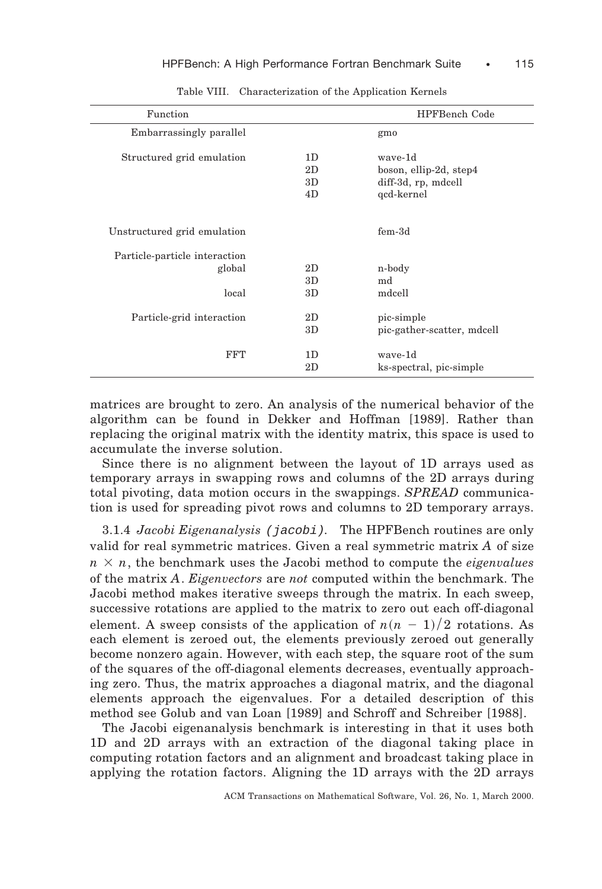| Function                      |                      | <b>HPFBench Code</b>                                                   |
|-------------------------------|----------------------|------------------------------------------------------------------------|
| Embarrassingly parallel       |                      | gmo                                                                    |
| Structured grid emulation     | 1D<br>2D<br>3D<br>4D | waye-1d<br>boson, ellip-2d, step4<br>diff-3d, rp, mdcell<br>qcd-kernel |
| Unstructured grid emulation   |                      | fem-3d                                                                 |
| Particle-particle interaction |                      |                                                                        |
| global                        | 2D                   | n-body                                                                 |
|                               | 3D                   | md                                                                     |
| local                         | 3D                   | mdcell                                                                 |
| Particle-grid interaction     | 2D<br>3D             | pic-simple<br>pic-gather-scatter, mdcell                               |
| <b>FFT</b>                    | 1D                   | wave-1d                                                                |
|                               | 2D                   | ks-spectral, pic-simple                                                |

Table VIII. Characterization of the Application Kernels

matrices are brought to zero. An analysis of the numerical behavior of the algorithm can be found in Dekker and Hoffman [1989]. Rather than replacing the original matrix with the identity matrix, this space is used to accumulate the inverse solution.

Since there is no alignment between the layout of 1D arrays used as temporary arrays in swapping rows and columns of the 2D arrays during total pivoting, data motion occurs in the swappings. *SPREAD* communication is used for spreading pivot rows and columns to 2D temporary arrays.

3.1.4 *Jacobi Eigenanalysis* (jacobi). The HPFBench routines are only valid for real symmetric matrices. Given a real symmetric matrix *A* of size  $n \times n$ , the benchmark uses the Jacobi method to compute the *eigenvalues* of the matrix *A*. *Eigenvectors* are *not* computed within the benchmark. The Jacobi method makes iterative sweeps through the matrix. In each sweep, successive rotations are applied to the matrix to zero out each off-diagonal element. A sweep consists of the application of  $n(n-1)/2$  rotations. As each element is zeroed out, the elements previously zeroed out generally become nonzero again. However, with each step, the square root of the sum of the squares of the off-diagonal elements decreases, eventually approaching zero. Thus, the matrix approaches a diagonal matrix, and the diagonal elements approach the eigenvalues. For a detailed description of this method see Golub and van Loan [1989] and Schroff and Schreiber [1988].

The Jacobi eigenanalysis benchmark is interesting in that it uses both 1D and 2D arrays with an extraction of the diagonal taking place in computing rotation factors and an alignment and broadcast taking place in applying the rotation factors. Aligning the 1D arrays with the 2D arrays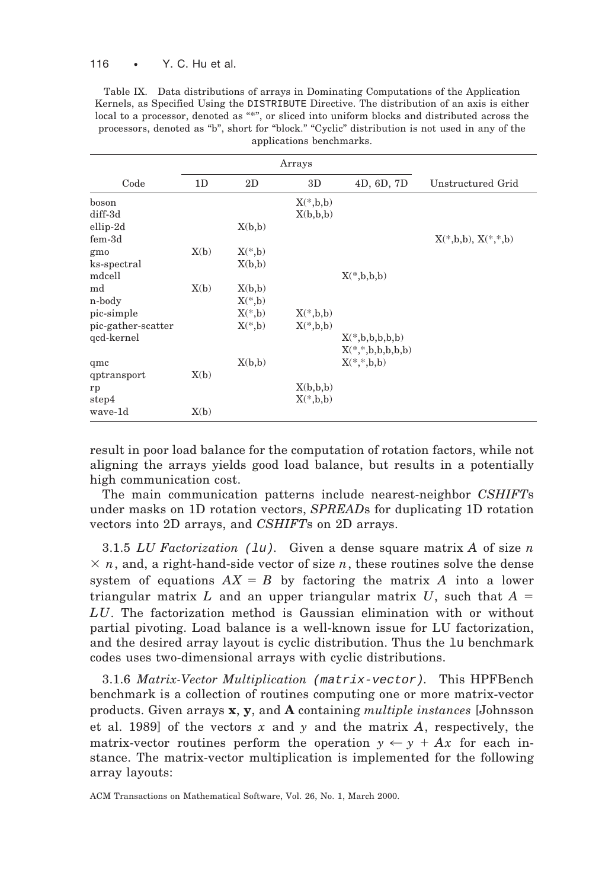|                    |      |          | Arrays     |                    |                      |
|--------------------|------|----------|------------|--------------------|----------------------|
| Code               | 1D   | 2D       | 3D         | 4D, 6D, 7D         | Unstructured Grid    |
| boson              |      |          | $X(*,b,b)$ |                    |                      |
| diff-3d            |      |          | X(b,b,b)   |                    |                      |
| ellip-2d           |      | X(b,b)   |            |                    |                      |
| fem-3d             |      |          |            |                    | $X(*,b,b), X(*,*,b)$ |
| $g_{\rm m}$        | X(b) | $X(*,b)$ |            |                    |                      |
| ks-spectral        |      | X(b,b)   |            |                    |                      |
| mdcell             |      |          |            | $X(*,b,b,b)$       |                      |
| md                 | X(b) | X(b,b)   |            |                    |                      |
| n-body             |      | $X(*,b)$ |            |                    |                      |
| pic-simple         |      | $X(*,b)$ | $X(*,b,b)$ |                    |                      |
| pic-gather-scatter |      | $X(*,b)$ | $X(*,b,b)$ |                    |                      |
| qcd-kernel         |      |          |            | $X(*,b,b,b,b,b)$   |                      |
|                    |      |          |            | $X(*,*,b,b,b,b,b)$ |                      |
| qmc                |      | X(b,b)   |            | $X(*,*,b,b)$       |                      |
| qptransport        | X(b) |          |            |                    |                      |
| rp                 |      |          | X(b,b,b)   |                    |                      |
| step4              |      |          | $X(*,b,b)$ |                    |                      |
| wave-1d            | X(b) |          |            |                    |                      |

Table IX. Data distributions of arrays in Dominating Computations of the Application Kernels, as Specified Using the DISTRIBUTE Directive. The distribution of an axis is either local to a processor, denoted as "\*", or sliced into uniform blocks and distributed across the processors, denoted as "b", short for "block." "Cyclic" distribution is not used in any of the applications benchmarks.

result in poor load balance for the computation of rotation factors, while not aligning the arrays yields good load balance, but results in a potentially high communication cost.

The main communication patterns include nearest-neighbor *CSHIFT*s under masks on 1D rotation vectors, *SPREAD*s for duplicating 1D rotation vectors into 2D arrays, and *CSHIFT*s on 2D arrays.

3.1.5 *LU Factorization* (lu). Given a dense square matrix *A* of size *n*  $\times$  *n*, and, a right-hand-side vector of size *n*, these routines solve the dense system of equations  $AX = B$  by factoring the matrix A into a lower triangular matrix L and an upper triangular matrix U, such that  $A =$ *LU*. The factorization method is Gaussian elimination with or without partial pivoting. Load balance is a well-known issue for LU factorization, and the desired array layout is cyclic distribution. Thus the lu benchmark codes uses two-dimensional arrays with cyclic distributions.

3.1.6 *Matrix-Vector Multiplication* (matrix-vector). This HPFBench benchmark is a collection of routines computing one or more matrix-vector products. Given arrays **x**, **y**, and **A** containing *multiple instances* [Johnsson et al. 1989] of the vectors *x* and *y* and the matrix *A*, respectively, the matrix-vector routines perform the operation  $y \leftarrow y + Ax$  for each instance. The matrix-vector multiplication is implemented for the following array layouts: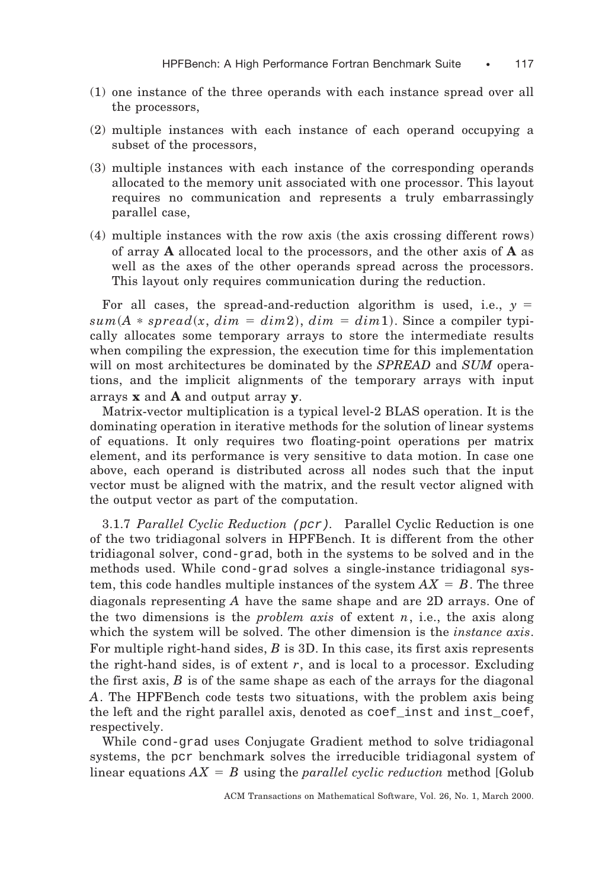- (1) one instance of the three operands with each instance spread over all the processors,
- (2) multiple instances with each instance of each operand occupying a subset of the processors,
- (3) multiple instances with each instance of the corresponding operands allocated to the memory unit associated with one processor. This layout requires no communication and represents a truly embarrassingly parallel case,
- (4) multiple instances with the row axis (the axis crossing different rows) of array **A** allocated local to the processors, and the other axis of **A** as well as the axes of the other operands spread across the processors. This layout only requires communication during the reduction.

For all cases, the spread-and-reduction algorithm is used, i.e.,  $y =$  $sum(A * spread(x, dim = dim2), dim = dim1)$ . Since a compiler typically allocates some temporary arrays to store the intermediate results when compiling the expression, the execution time for this implementation will on most architectures be dominated by the *SPREAD* and *SUM* operations, and the implicit alignments of the temporary arrays with input arrays **x** and **A** and output array **y**.

Matrix-vector multiplication is a typical level-2 BLAS operation. It is the dominating operation in iterative methods for the solution of linear systems of equations. It only requires two floating-point operations per matrix element, and its performance is very sensitive to data motion. In case one above, each operand is distributed across all nodes such that the input vector must be aligned with the matrix, and the result vector aligned with the output vector as part of the computation.

3.1.7 *Parallel Cyclic Reduction* (pcr). Parallel Cyclic Reduction is one of the two tridiagonal solvers in HPFBench. It is different from the other tridiagonal solver, cond-grad, both in the systems to be solved and in the methods used. While cond-grad solves a single-instance tridiagonal system, this code handles multiple instances of the system  $AX = B$ . The three diagonals representing *A* have the same shape and are 2D arrays. One of the two dimensions is the *problem axis* of extent *n*, i.e., the axis along which the system will be solved. The other dimension is the *instance axis*. For multiple right-hand sides, *B* is 3D. In this case, its first axis represents the right-hand sides, is of extent  $r$ , and is local to a processor. Excluding the first axis, *B* is of the same shape as each of the arrays for the diagonal *A*. The HPFBench code tests two situations, with the problem axis being the left and the right parallel axis, denoted as coef\_inst and inst\_coef, respectively.

While cond-grad uses Conjugate Gradient method to solve tridiagonal systems, the pcr benchmark solves the irreducible tridiagonal system of linear equations  $AX = B$  using the *parallel cyclic reduction* method [Golub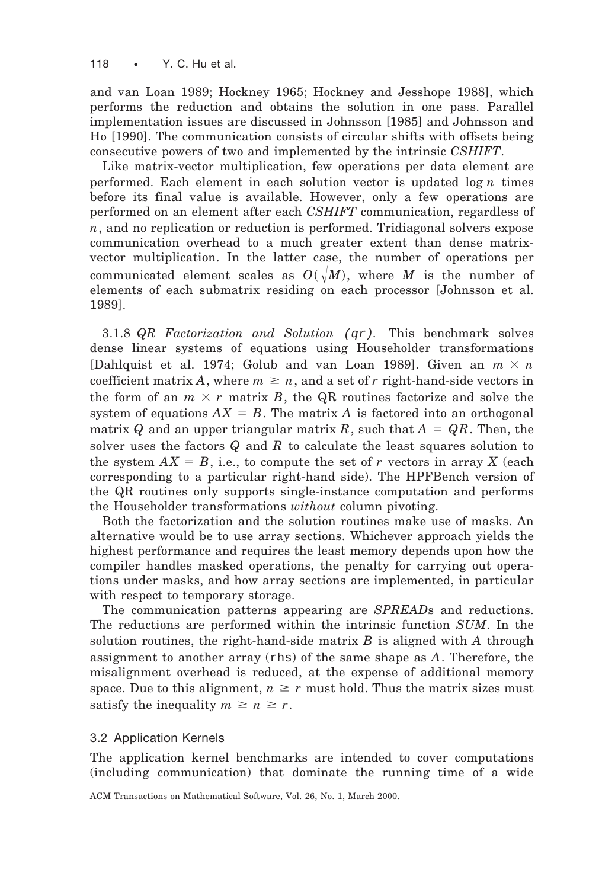and van Loan 1989; Hockney 1965; Hockney and Jesshope 1988], which performs the reduction and obtains the solution in one pass. Parallel implementation issues are discussed in Johnsson [1985] and Johnsson and Ho [1990]. The communication consists of circular shifts with offsets being consecutive powers of two and implemented by the intrinsic *CSHIFT*.

Like matrix-vector multiplication, few operations per data element are performed. Each element in each solution vector is updated log *n* times before its final value is available. However, only a few operations are performed on an element after each *CSHIFT* communication, regardless of *n*, and no replication or reduction is performed. Tridiagonal solvers expose communication overhead to a much greater extent than dense matrixvector multiplication. In the latter case, the number of operations per communicated element scales as  $O(\sqrt{M})$ , where *M* is the number of elements of each submatrix residing on each processor [Johnsson et al. 1989].

3.1.8 *QR Factorization and Solution* (qr). This benchmark solves dense linear systems of equations using Householder transformations [Dahlquist et al. 1974; Golub and van Loan 1989]. Given an  $m \times n$ coefficient matrix A, where  $m \geq n$ , and a set of r right-hand-side vectors in the form of an  $m \times r$  matrix *B*, the QR routines factorize and solve the system of equations  $AX = B$ . The matrix A is factored into an orthogonal matrix *Q* and an upper triangular matrix *R*, such that  $A = QR$ . Then, the solver uses the factors *Q* and *R* to calculate the least squares solution to the system  $AX = B$ , i.e., to compute the set of *r* vectors in array X (each corresponding to a particular right-hand side). The HPFBench version of the QR routines only supports single-instance computation and performs the Householder transformations *without* column pivoting.

Both the factorization and the solution routines make use of masks. An alternative would be to use array sections. Whichever approach yields the highest performance and requires the least memory depends upon how the compiler handles masked operations, the penalty for carrying out operations under masks, and how array sections are implemented, in particular with respect to temporary storage.

The communication patterns appearing are *SPREAD*s and reductions. The reductions are performed within the intrinsic function *SUM*. In the solution routines, the right-hand-side matrix *B* is aligned with *A* through assignment to another array (rhs) of the same shape as *A*. Therefore, the misalignment overhead is reduced, at the expense of additional memory space. Due to this alignment,  $n \geq r$  must hold. Thus the matrix sizes must satisfy the inequality  $m \geq n \geq r$ .

#### 3.2 Application Kernels

The application kernel benchmarks are intended to cover computations (including communication) that dominate the running time of a wide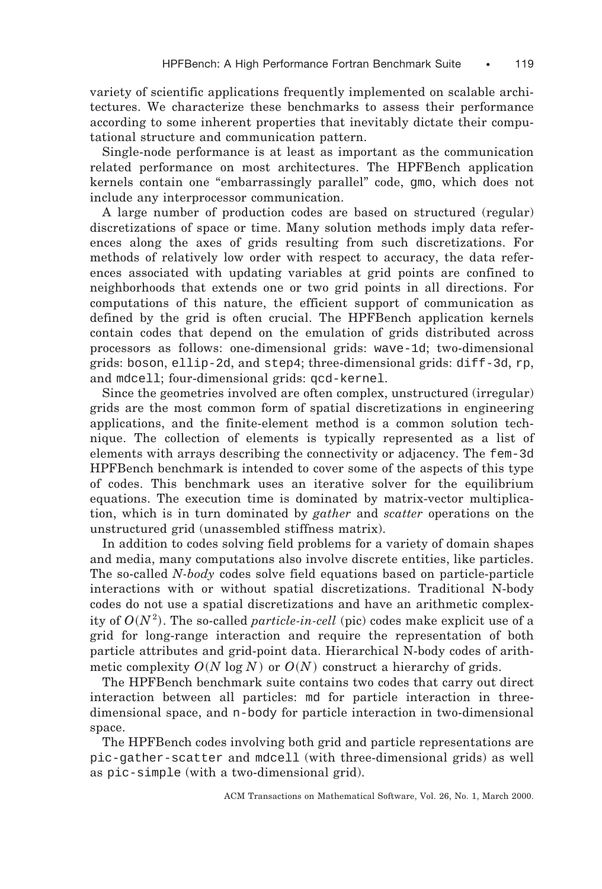variety of scientific applications frequently implemented on scalable architectures. We characterize these benchmarks to assess their performance according to some inherent properties that inevitably dictate their computational structure and communication pattern.

Single-node performance is at least as important as the communication related performance on most architectures. The HPFBench application kernels contain one "embarrassingly parallel" code, gmo, which does not include any interprocessor communication.

A large number of production codes are based on structured (regular) discretizations of space or time. Many solution methods imply data references along the axes of grids resulting from such discretizations. For methods of relatively low order with respect to accuracy, the data references associated with updating variables at grid points are confined to neighborhoods that extends one or two grid points in all directions. For computations of this nature, the efficient support of communication as defined by the grid is often crucial. The HPFBench application kernels contain codes that depend on the emulation of grids distributed across processors as follows: one-dimensional grids: wave-1d; two-dimensional grids: boson, ellip-2d, and step4; three-dimensional grids: diff-3d, rp, and mdcell; four-dimensional grids: qcd-kernel.

Since the geometries involved are often complex, unstructured (irregular) grids are the most common form of spatial discretizations in engineering applications, and the finite-element method is a common solution technique. The collection of elements is typically represented as a list of elements with arrays describing the connectivity or adjacency. The fem-3d HPFBench benchmark is intended to cover some of the aspects of this type of codes. This benchmark uses an iterative solver for the equilibrium equations. The execution time is dominated by matrix-vector multiplication, which is in turn dominated by *gather* and *scatter* operations on the unstructured grid (unassembled stiffness matrix).

In addition to codes solving field problems for a variety of domain shapes and media, many computations also involve discrete entities, like particles. The so-called *N-body* codes solve field equations based on particle-particle interactions with or without spatial discretizations. Traditional N-body codes do not use a spatial discretizations and have an arithmetic complexity of  $O(N^2)$ . The so-called *particle-in-cell* (pic) codes make explicit use of a grid for long-range interaction and require the representation of both particle attributes and grid-point data. Hierarchical N-body codes of arithmetic complexity  $O(N \log N)$  or  $O(N)$  construct a hierarchy of grids.

The HPFBench benchmark suite contains two codes that carry out direct interaction between all particles: md for particle interaction in threedimensional space, and n-body for particle interaction in two-dimensional space.

The HPFBench codes involving both grid and particle representations are pic-gather-scatter and mdcell (with three-dimensional grids) as well as pic-simple (with a two-dimensional grid).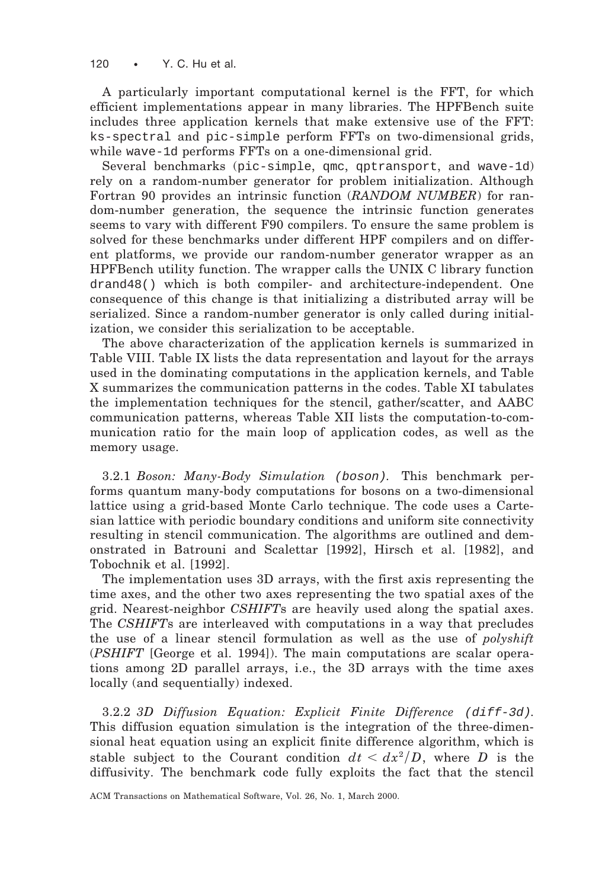A particularly important computational kernel is the FFT, for which efficient implementations appear in many libraries. The HPFBench suite includes three application kernels that make extensive use of the FFT: ks-spectral and pic-simple perform FFTs on two-dimensional grids, while wave-1d performs FFTs on a one-dimensional grid.

Several benchmarks (pic-simple, qmc, qptransport, and wave-1d) rely on a random-number generator for problem initialization. Although Fortran 90 provides an intrinsic function (*RANDOM NUMBER*) for random-number generation, the sequence the intrinsic function generates seems to vary with different F90 compilers. To ensure the same problem is solved for these benchmarks under different HPF compilers and on different platforms, we provide our random-number generator wrapper as an HPFBench utility function. The wrapper calls the UNIX C library function drand48() which is both compiler- and architecture-independent. One consequence of this change is that initializing a distributed array will be serialized. Since a random-number generator is only called during initialization, we consider this serialization to be acceptable.

The above characterization of the application kernels is summarized in Table VIII. Table IX lists the data representation and layout for the arrays used in the dominating computations in the application kernels, and Table X summarizes the communication patterns in the codes. Table XI tabulates the implementation techniques for the stencil, gather/scatter, and AABC communication patterns, whereas Table XII lists the computation-to-communication ratio for the main loop of application codes, as well as the memory usage.

3.2.1 *Boson: Many-Body Simulation* (boson). This benchmark performs quantum many-body computations for bosons on a two-dimensional lattice using a grid-based Monte Carlo technique. The code uses a Cartesian lattice with periodic boundary conditions and uniform site connectivity resulting in stencil communication. The algorithms are outlined and demonstrated in Batrouni and Scalettar [1992], Hirsch et al. [1982], and Tobochnik et al. [1992].

The implementation uses 3D arrays, with the first axis representing the time axes, and the other two axes representing the two spatial axes of the grid. Nearest-neighbor *CSHIFT*s are heavily used along the spatial axes. The *CSHIFT*s are interleaved with computations in a way that precludes the use of a linear stencil formulation as well as the use of *polyshift* (*PSHIFT* [George et al. 1994]). The main computations are scalar operations among 2D parallel arrays, i.e., the 3D arrays with the time axes locally (and sequentially) indexed.

3.2.2 *3D Diffusion Equation: Explicit Finite Difference* (diff-3d). This diffusion equation simulation is the integration of the three-dimensional heat equation using an explicit finite difference algorithm, which is stable subject to the Courant condition  $dt < dx^2/D$ , where *D* is the diffusivity. The benchmark code fully exploits the fact that the stencil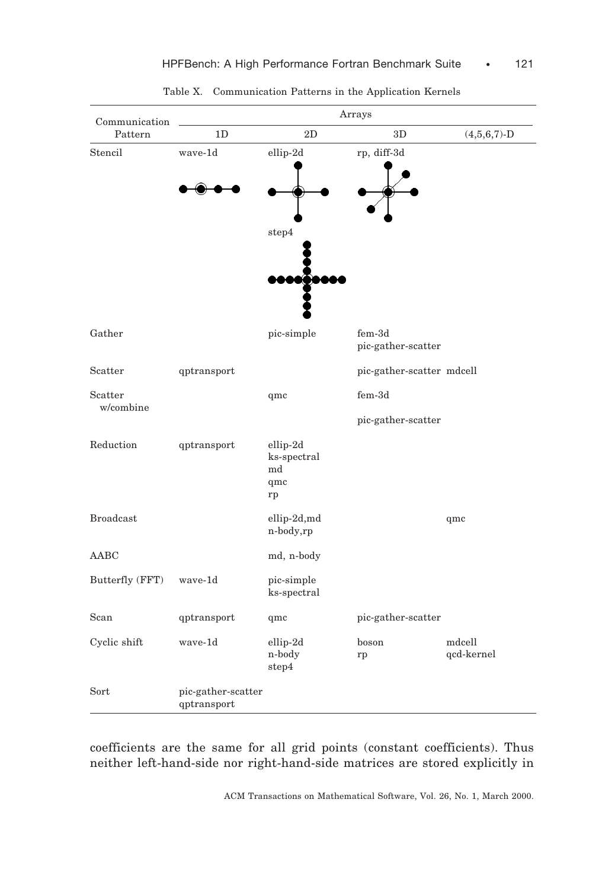| Communication        | Arrays                            |                                            |                              |                      |  |
|----------------------|-----------------------------------|--------------------------------------------|------------------------------|----------------------|--|
| Pattern              | 1D                                | 2D                                         | 3D                           | $(4,5,6,7)$ -D       |  |
| Stencil              | wave-1d                           | ellip-2d                                   | rp, diff-3d                  |                      |  |
|                      |                                   |                                            |                              |                      |  |
|                      |                                   | step4                                      |                              |                      |  |
|                      |                                   |                                            |                              |                      |  |
| Gather               |                                   | pic-simple                                 | fem-3d<br>pic-gather-scatter |                      |  |
| Scatter              | qptransport                       |                                            | pic-gather-scatter mdcell    |                      |  |
| Scatter<br>w/combine |                                   | qmc                                        | fem-3d                       |                      |  |
|                      |                                   |                                            | pic-gather-scatter           |                      |  |
| Reduction            | qptransport                       | ellip-2d<br>ks-spectral<br>md<br>qmc<br>rp |                              |                      |  |
| <b>Broadcast</b>     |                                   | $_{\rm ellip\text{-}2d,md}$<br>n-body,rp   |                              | qmc                  |  |
| AABC                 |                                   | md, n-body                                 |                              |                      |  |
| Butterfly (FFT)      | wave-1d                           | pic-simple<br>ks-spectral                  |                              |                      |  |
| Scan                 | qptransport                       | qmc                                        | pic-gather-scatter           |                      |  |
| Cyclic shift         | wave-1d                           | ellip-2d<br>n-body<br>step4                | boson<br>rp                  | mdcell<br>qcd-kernel |  |
| Sort                 | pic-gather-scatter<br>qptransport |                                            |                              |                      |  |

## Table X. Communication Patterns in the Application Kernels

coefficients are the same for all grid points (constant coefficients). Thus neither left-hand-side nor right-hand-side matrices are stored explicitly in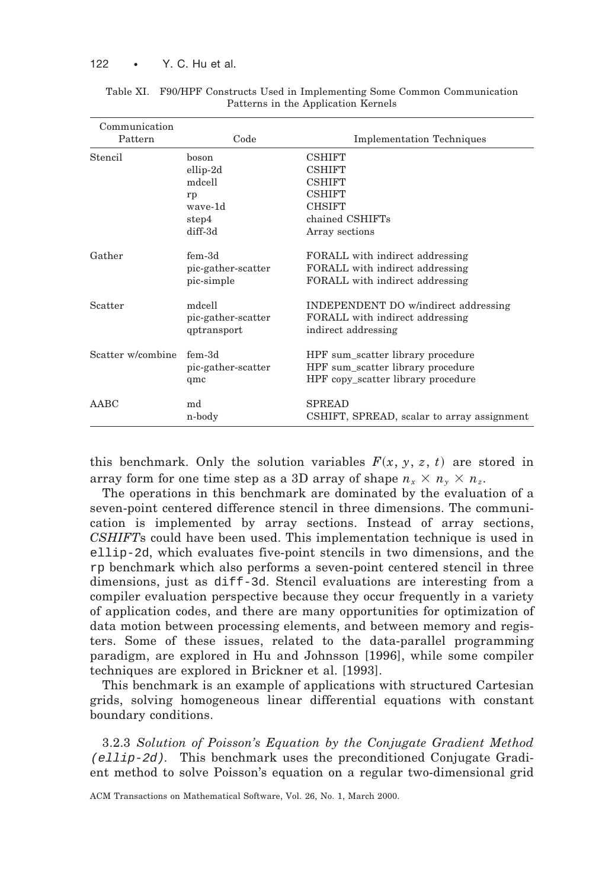#### 122 • Y. C. Hu et al.

| Communication     |                    |                                             |
|-------------------|--------------------|---------------------------------------------|
| Pattern           | Code               | <b>Implementation Techniques</b>            |
| Stencil           | boson              | <b>CSHIFT</b>                               |
|                   | ellip-2d           | <b>CSHIFT</b>                               |
|                   | mdcell             | <b>CSHIFT</b>                               |
|                   | rp                 | <b>CSHIFT</b>                               |
|                   | wave-1d            | <b>CHSIFT</b>                               |
|                   | step4              | chained CSHIFTs                             |
|                   | diff-3d            | Array sections                              |
| Gather            | $fem-3d$           | FORALL with indirect addressing             |
|                   | pic-gather-scatter | FORALL with indirect addressing             |
|                   | pic-simple         | FORALL with indirect addressing             |
| Scatter           | mdcell             | <b>INDEPENDENT DO</b> w/indirect addressing |
|                   | pic-gather-scatter | FORALL with indirect addressing             |
|                   | qptransport        | indirect addressing                         |
| Scatter w/combine | $f$ em-3d          | HPF sum_scatter library procedure           |
|                   | pic-gather-scatter | HPF sum_scatter library procedure           |
|                   | qmc                | HPF copy_scatter library procedure          |
| AABC              | md                 | <b>SPREAD</b>                               |
|                   | n-body             | CSHIFT, SPREAD, scalar to array assignment  |

| Table XI. F90/HPF Constructs Used in Implementing Some Common Communication |
|-----------------------------------------------------------------------------|
| Patterns in the Application Kernels                                         |

this benchmark. Only the solution variables  $F(x, y, z, t)$  are stored in array form for one time step as a 3D array of shape  $n_x \times n_y \times n_z$ .

The operations in this benchmark are dominated by the evaluation of a seven-point centered difference stencil in three dimensions. The communication is implemented by array sections. Instead of array sections, *CSHIFT*s could have been used. This implementation technique is used in ellip-2d, which evaluates five-point stencils in two dimensions, and the rp benchmark which also performs a seven-point centered stencil in three dimensions, just as diff-3d. Stencil evaluations are interesting from a compiler evaluation perspective because they occur frequently in a variety of application codes, and there are many opportunities for optimization of data motion between processing elements, and between memory and registers. Some of these issues, related to the data-parallel programming paradigm, are explored in Hu and Johnsson [1996], while some compiler techniques are explored in Brickner et al. [1993].

This benchmark is an example of applications with structured Cartesian grids, solving homogeneous linear differential equations with constant boundary conditions.

3.2.3 *Solution of Poisson's Equation by the Conjugate Gradient Method*  $(ellip-2d)$ . This benchmark uses the preconditioned Conjugate Gradient method to solve Poisson's equation on a regular two-dimensional grid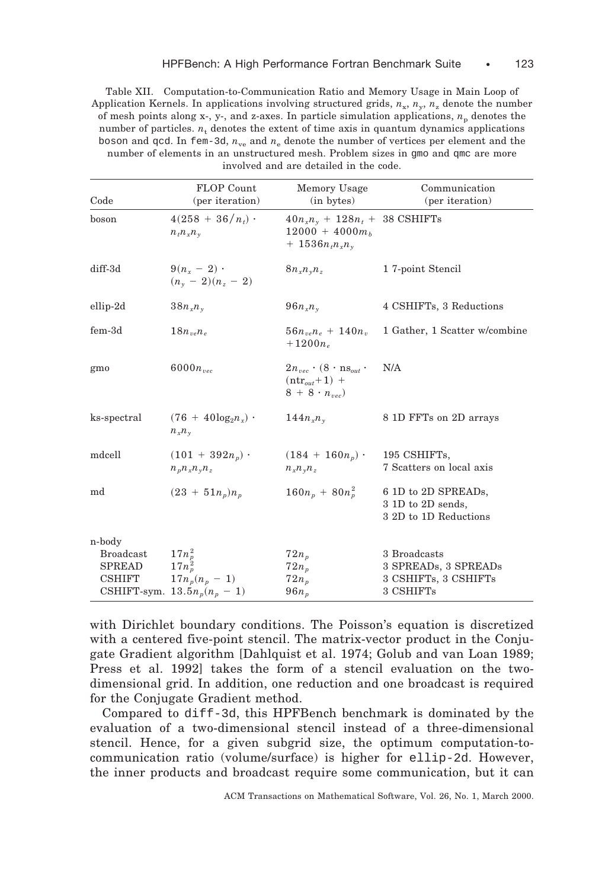Table XII. Computation-to-Communication Ratio and Memory Usage in Main Loop of Application Kernels. In applications involving structured grids,  $n_x$ ,  $n_y$ ,  $n_z$  denote the number of mesh points along  $x$ -,  $y$ -, and z-axes. In particle simulation applications,  $n_p$  denotes the number of particles.  $n_t$  denotes the extent of time axis in quantum dynamics applications boson and gcd. In fem-3d,  $n_{ve}$  and  $n_e$  denote the number of vertices per element and the number of elements in an unstructured mesh. Problem sizes in gmo and gmc are more involved and are detailed in the code.

| Code                                                         | FLOP Count<br>(per iteration)                                            | Memory Usage<br>(in bytes)                                                                                             | Communication<br>(per iteration)                                          |
|--------------------------------------------------------------|--------------------------------------------------------------------------|------------------------------------------------------------------------------------------------------------------------|---------------------------------------------------------------------------|
| boson                                                        | $4(258 + 36/n_t)$ .<br>$n_t n_x n_y$                                     | $40n_xn_y + 128n_t + 38$ CSHIFTs<br>$12000 + 4000m_h$<br>$+ 1536 n_{t} n_{r} n_{v}$                                    |                                                                           |
| diff-3d                                                      | $9(n_x-2)$ .<br>$(n_v - 2)(n_z - 2)$                                     | $8n_x n_v n_z$                                                                                                         | 1 7-point Stencil                                                         |
| ellip-2d                                                     | $38n_x n_y$                                                              | $96n_x n_y$                                                                                                            | 4 CSHIFTs, 3 Reductions                                                   |
| fem-3d                                                       | $18n_{ne}n_e$                                                            | $56n_{ve}n_e + 140n_v$<br>$+1200n_e$                                                                                   | 1 Gather, 1 Scatter w/combine                                             |
| gmo                                                          | 6000 $n_{vec}$                                                           | $2n_{\mathit{vec}}\cdot(8\,\cdot\,\textrm{ns}_{\mathit{out}}\,\cdot$<br>$(ntr_{out}+1)$ +<br>$8+8\cdot n_{\text{rec}}$ | N/A                                                                       |
| ks-spectral                                                  | $(76 + 40\log_2 n_r)$ .<br>$n_x n_y$                                     | $144n_x n_y$                                                                                                           | 8 1D FFTs on 2D arrays                                                    |
| mdcell                                                       | $(101 + 392n_n)$ .<br>$n_n n_x n_v n_z$                                  | $(184 + 160n_n)$<br>$n_x n_y n_z$                                                                                      | 195 CSHIFTs,<br>7 Scatters on local axis                                  |
| md                                                           | $(23 + 51n_p)n_p$                                                        | $160n_p + 80n_p^2$                                                                                                     | 6 1D to 2D SPREADs,<br>3 1D to 2D sends,<br>3 2D to 1D Reductions         |
| n-body<br><b>Broadcast</b><br><b>SPREAD</b><br><b>CSHIFT</b> | $17n_p^2$<br>$17n_n^2$<br>$17n_p(n_p-1)$<br>CSHIFT-sym. $13.5n_p(n_p-1)$ | $72n_p$<br>$72n_p$<br>$72n_n$<br>$96n_p$                                                                               | 3 Broadcasts<br>3 SPREADs, 3 SPREADs<br>3 CSHIFTs, 3 CSHIFTs<br>3 CSHIFTs |

with Dirichlet boundary conditions. The Poisson's equation is discretized with a centered five-point stencil. The matrix-vector product in the Conjugate Gradient algorithm [Dahlquist et al. 1974; Golub and van Loan 1989; Press et al. 1992] takes the form of a stencil evaluation on the twodimensional grid. In addition, one reduction and one broadcast is required for the Conjugate Gradient method.

Compared to diff-3d, this HPFBench benchmark is dominated by the evaluation of a two-dimensional stencil instead of a three-dimensional stencil. Hence, for a given subgrid size, the optimum computation-tocommunication ratio (volume/surface) is higher for ellip-2d. However, the inner products and broadcast require some communication, but it can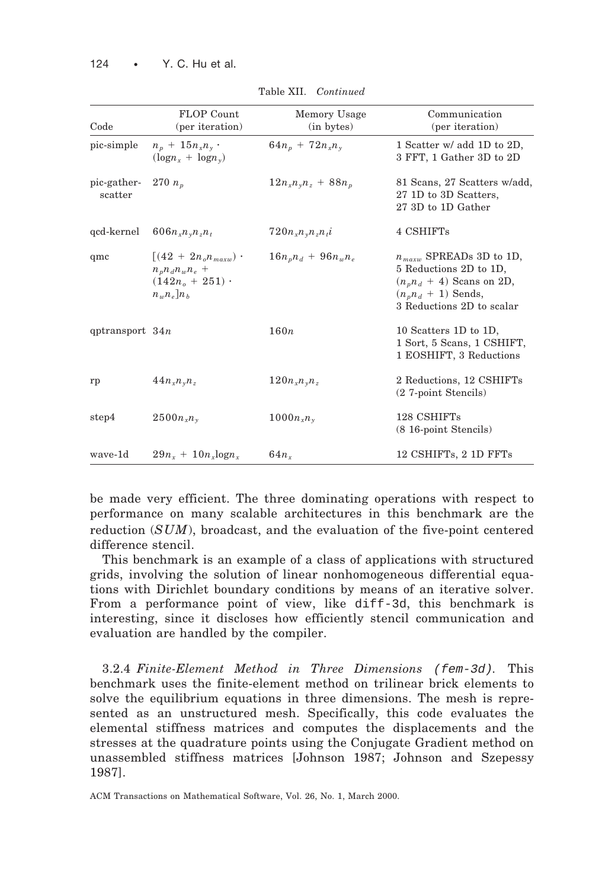| Code                   | FLOP Count<br>(per iteration)                                                                     | Memory Usage<br>(in bytes)    | Communication<br>(per iteration)                                                                                                                    |
|------------------------|---------------------------------------------------------------------------------------------------|-------------------------------|-----------------------------------------------------------------------------------------------------------------------------------------------------|
| pic-simple             | $n_{p} + 15n_{x}n_{y}$ .<br>$(log n_x + log n_y)$                                                 | $64n_p + 72n_x n_y$           | 1 Scatter w/ add 1D to 2D,<br>3 FFT, 1 Gather 3D to 2D                                                                                              |
| pic-gather-<br>scatter | 270 $n_{p}$                                                                                       | $12n_x n_v n_z + 88n_v$       | 81 Scans, 27 Scatters w/add,<br>27 1D to 3D Scatters.<br>27 3D to 1D Gather                                                                         |
| qcd-kernel             | $606n_x n_v n_z n_t$                                                                              | $720n_{x}n_{y}n_{z}n_{t}i$    | 4 CSHIFTs                                                                                                                                           |
| qmc                    | $[(42 + 2n_0n_{maxw})$ .<br>$n_p n_d n_w n_e +$<br>$(142n_{o} + 251)$ .<br>$n_w n_e \, \vert n_h$ | $16n_{n}n_{d} + 96n_{w}n_{e}$ | $n_{\text{max}}$ SPREADs 3D to 1D,<br>5 Reductions 2D to 1D,<br>$(n_p n_d + 4)$ Scans on 2D,<br>$(n_p n_d + 1)$ Sends,<br>3 Reductions 2D to scalar |
| qptransport $34n$      |                                                                                                   | 160n                          | 10 Scatters 1D to 1D,<br>1 Sort, 5 Scans, 1 CSHIFT,<br>1 EOSHIFT, 3 Reductions                                                                      |
| rp                     | $44n_x n_v n_z$                                                                                   | $120n_x n_v n_z$              | 2 Reductions, 12 CSHIFTs<br>(2 7-point Stencils)                                                                                                    |
| step4                  | $2500n_{x}n_{y}$                                                                                  | $1000 n_{x} n_{y}$            | 128 CSHIFTs<br>$(8\ 16\text{-point Stencils})$                                                                                                      |
| wave-1d                | $29n_x + 10n_x \log n_x$                                                                          | $64n_r$                       | 12 CSHIFTs, 2 1D FFTs                                                                                                                               |

Table XII. *Continued*

be made very efficient. The three dominating operations with respect to performance on many scalable architectures in this benchmark are the reduction (*SUM*), broadcast, and the evaluation of the five-point centered difference stencil.

This benchmark is an example of a class of applications with structured grids, involving the solution of linear nonhomogeneous differential equations with Dirichlet boundary conditions by means of an iterative solver. From a performance point of view, like diff-3d, this benchmark is interesting, since it discloses how efficiently stencil communication and evaluation are handled by the compiler.

3.2.4 *Finite-Element Method in Three Dimensions* (fem-3d). This benchmark uses the finite-element method on trilinear brick elements to solve the equilibrium equations in three dimensions. The mesh is represented as an unstructured mesh. Specifically, this code evaluates the elemental stiffness matrices and computes the displacements and the stresses at the quadrature points using the Conjugate Gradient method on unassembled stiffness matrices [Johnson 1987; Johnson and Szepessy 1987].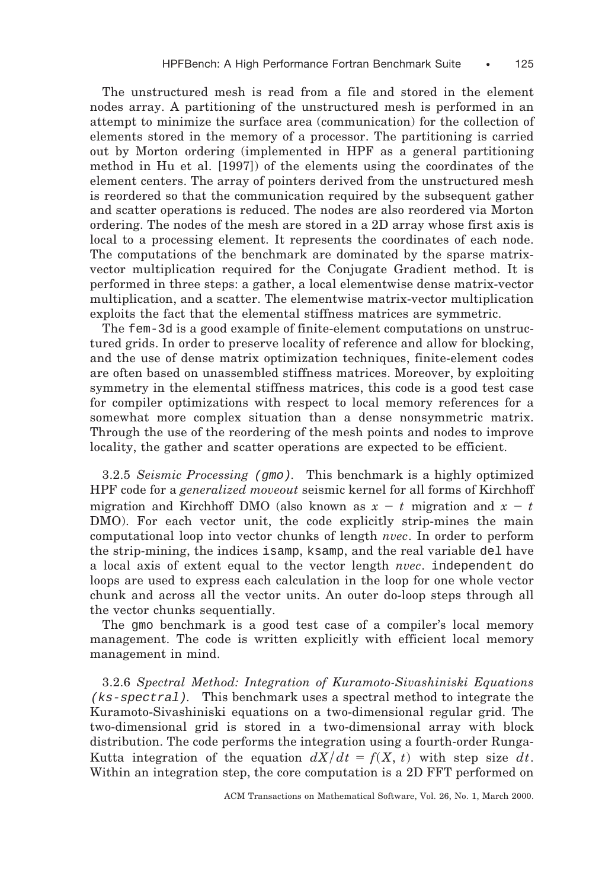The unstructured mesh is read from a file and stored in the element nodes array. A partitioning of the unstructured mesh is performed in an attempt to minimize the surface area (communication) for the collection of elements stored in the memory of a processor. The partitioning is carried out by Morton ordering (implemented in HPF as a general partitioning method in Hu et al. [1997]) of the elements using the coordinates of the element centers. The array of pointers derived from the unstructured mesh is reordered so that the communication required by the subsequent gather and scatter operations is reduced. The nodes are also reordered via Morton ordering. The nodes of the mesh are stored in a 2D array whose first axis is local to a processing element. It represents the coordinates of each node. The computations of the benchmark are dominated by the sparse matrixvector multiplication required for the Conjugate Gradient method. It is performed in three steps: a gather, a local elementwise dense matrix-vector multiplication, and a scatter. The elementwise matrix-vector multiplication exploits the fact that the elemental stiffness matrices are symmetric.

The fem-3d is a good example of finite-element computations on unstructured grids. In order to preserve locality of reference and allow for blocking, and the use of dense matrix optimization techniques, finite-element codes are often based on unassembled stiffness matrices. Moreover, by exploiting symmetry in the elemental stiffness matrices, this code is a good test case for compiler optimizations with respect to local memory references for a somewhat more complex situation than a dense nonsymmetric matrix. Through the use of the reordering of the mesh points and nodes to improve locality, the gather and scatter operations are expected to be efficient.

3.2.5 *Seismic Processing* (gmo). This benchmark is a highly optimized HPF code for a *generalized moveout* seismic kernel for all forms of Kirchhoff migration and Kirchhoff DMO (also known as  $x - t$  migration and  $x - t$ DMO). For each vector unit, the code explicitly strip-mines the main computational loop into vector chunks of length *nvec*. In order to perform the strip-mining, the indices isamp, ksamp, and the real variable del have a local axis of extent equal to the vector length *nvec*. independent do loops are used to express each calculation in the loop for one whole vector chunk and across all the vector units. An outer do-loop steps through all the vector chunks sequentially.

The gmo benchmark is a good test case of a compiler's local memory management. The code is written explicitly with efficient local memory management in mind.

3.2.6 *Spectral Method: Integration of Kuramoto-Sivashiniski Equations* (ks-spectral). This benchmark uses a spectral method to integrate the Kuramoto-Sivashiniski equations on a two-dimensional regular grid. The two-dimensional grid is stored in a two-dimensional array with block distribution. The code performs the integration using a fourth-order Runga-Kutta integration of the equation  $dX/dt = f(X, t)$  with step size dt. Within an integration step, the core computation is a 2D FFT performed on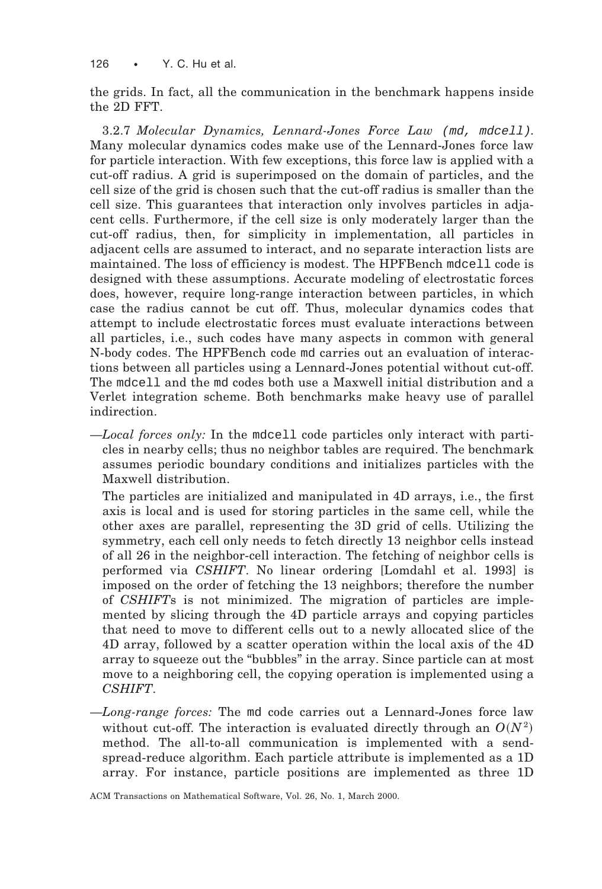the grids. In fact, all the communication in the benchmark happens inside the 2D FFT.

3.2.7 *Molecular Dynamics, Lennard-Jones Force Law* (md, mdcell). Many molecular dynamics codes make use of the Lennard-Jones force law for particle interaction. With few exceptions, this force law is applied with a cut-off radius. A grid is superimposed on the domain of particles, and the cell size of the grid is chosen such that the cut-off radius is smaller than the cell size. This guarantees that interaction only involves particles in adjacent cells. Furthermore, if the cell size is only moderately larger than the cut-off radius, then, for simplicity in implementation, all particles in adjacent cells are assumed to interact, and no separate interaction lists are maintained. The loss of efficiency is modest. The HPFBench mdcell code is designed with these assumptions. Accurate modeling of electrostatic forces does, however, require long-range interaction between particles, in which case the radius cannot be cut off. Thus, molecular dynamics codes that attempt to include electrostatic forces must evaluate interactions between all particles, i.e., such codes have many aspects in common with general N-body codes. The HPFBench code md carries out an evaluation of interactions between all particles using a Lennard-Jones potential without cut-off. The mdcell and the md codes both use a Maxwell initial distribution and a Verlet integration scheme. Both benchmarks make heavy use of parallel indirection.

—*Local forces only:* In the mdcell code particles only interact with particles in nearby cells; thus no neighbor tables are required. The benchmark assumes periodic boundary conditions and initializes particles with the Maxwell distribution.

The particles are initialized and manipulated in 4D arrays, i.e., the first axis is local and is used for storing particles in the same cell, while the other axes are parallel, representing the 3D grid of cells. Utilizing the symmetry, each cell only needs to fetch directly 13 neighbor cells instead of all 26 in the neighbor-cell interaction. The fetching of neighbor cells is performed via *CSHIFT*. No linear ordering [Lomdahl et al. 1993] is imposed on the order of fetching the 13 neighbors; therefore the number of *CSHIFT*s is not minimized. The migration of particles are implemented by slicing through the 4D particle arrays and copying particles that need to move to different cells out to a newly allocated slice of the 4D array, followed by a scatter operation within the local axis of the 4D array to squeeze out the "bubbles" in the array. Since particle can at most move to a neighboring cell, the copying operation is implemented using a *CSHIFT*.

—*Long-range forces:* The md code carries out a Lennard-Jones force law without cut-off. The interaction is evaluated directly through an  $O(N^2)$ method. The all-to-all communication is implemented with a sendspread-reduce algorithm. Each particle attribute is implemented as a 1D array. For instance, particle positions are implemented as three 1D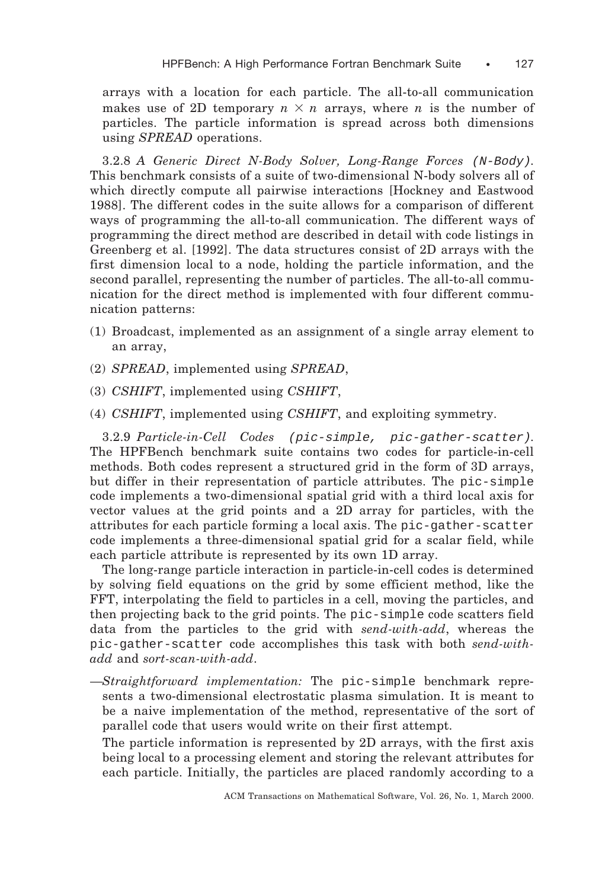arrays with a location for each particle. The all-to-all communication makes use of 2D temporary  $n \times n$  arrays, where *n* is the number of particles. The particle information is spread across both dimensions using *SPREAD* operations.

3.2.8 *A Generic Direct N-Body Solver, Long-Range Forces* (N-Body). This benchmark consists of a suite of two-dimensional N-body solvers all of which directly compute all pairwise interactions [Hockney and Eastwood 1988]. The different codes in the suite allows for a comparison of different ways of programming the all-to-all communication. The different ways of programming the direct method are described in detail with code listings in Greenberg et al. [1992]. The data structures consist of 2D arrays with the first dimension local to a node, holding the particle information, and the second parallel, representing the number of particles. The all-to-all communication for the direct method is implemented with four different communication patterns:

- (1) Broadcast, implemented as an assignment of a single array element to an array,
- (2) *SPREAD*, implemented using *SPREAD*,
- (3) *CSHIFT*, implemented using *CSHIFT*,
- (4) *CSHIFT*, implemented using *CSHIFT*, and exploiting symmetry.

3.2.9 *Particle-in-Cell Codes* (pic-simple, pic-gather-scatter). The HPFBench benchmark suite contains two codes for particle-in-cell methods. Both codes represent a structured grid in the form of 3D arrays, but differ in their representation of particle attributes. The pic-simple code implements a two-dimensional spatial grid with a third local axis for vector values at the grid points and a 2D array for particles, with the attributes for each particle forming a local axis. The pic-gather-scatter code implements a three-dimensional spatial grid for a scalar field, while each particle attribute is represented by its own 1D array.

The long-range particle interaction in particle-in-cell codes is determined by solving field equations on the grid by some efficient method, like the FFT, interpolating the field to particles in a cell, moving the particles, and then projecting back to the grid points. The pic-simple code scatters field data from the particles to the grid with *send-with-add*, whereas the pic-gather-scatter code accomplishes this task with both *send-withadd* and *sort-scan-with-add*.

—*Straightforward implementation:* The pic-simple benchmark represents a two-dimensional electrostatic plasma simulation. It is meant to be a naive implementation of the method, representative of the sort of parallel code that users would write on their first attempt.

The particle information is represented by 2D arrays, with the first axis being local to a processing element and storing the relevant attributes for each particle. Initially, the particles are placed randomly according to a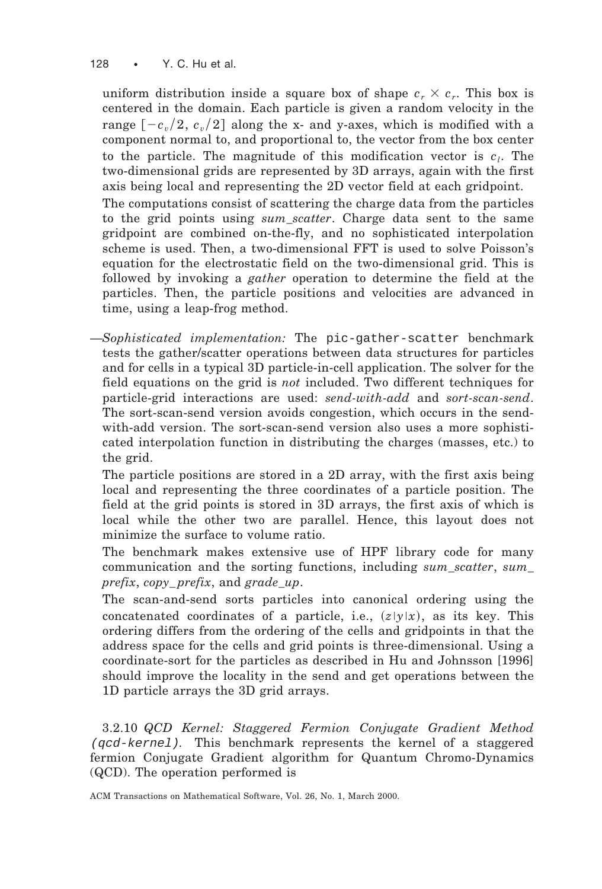uniform distribution inside a square box of shape  $c_r \times c_r$ . This box is centered in the domain. Each particle is given a random velocity in the range  $[-c_n/2, c_n/2]$  along the x- and y-axes, which is modified with a component normal to, and proportional to, the vector from the box center to the particle. The magnitude of this modification vector is  $c<sub>1</sub>$ . The two-dimensional grids are represented by 3D arrays, again with the first axis being local and representing the 2D vector field at each gridpoint.

The computations consist of scattering the charge data from the particles to the grid points using *sum\_scatter*. Charge data sent to the same gridpoint are combined on-the-fly, and no sophisticated interpolation scheme is used. Then, a two-dimensional FFT is used to solve Poisson's equation for the electrostatic field on the two-dimensional grid. This is followed by invoking a *gather* operation to determine the field at the particles. Then, the particle positions and velocities are advanced in time, using a leap-frog method.

—*Sophisticated implementation:* The pic-gather-scatter benchmark tests the gather/scatter operations between data structures for particles and for cells in a typical 3D particle-in-cell application. The solver for the field equations on the grid is *not* included. Two different techniques for particle-grid interactions are used: *send-with-add* and *sort-scan-send*. The sort-scan-send version avoids congestion, which occurs in the sendwith-add version. The sort-scan-send version also uses a more sophisticated interpolation function in distributing the charges (masses, etc.) to the grid.

The particle positions are stored in a 2D array, with the first axis being local and representing the three coordinates of a particle position. The field at the grid points is stored in 3D arrays, the first axis of which is local while the other two are parallel. Hence, this layout does not minimize the surface to volume ratio.

The benchmark makes extensive use of HPF library code for many communication and the sorting functions, including *sum\_scatter*, *sum\_ prefix*, *copy\_ prefix*, and *grade\_up*.

The scan-and-send sorts particles into canonical ordering using the concatenated coordinates of a particle, i.e.,  $(z|y|x)$ , as its key. This ordering differs from the ordering of the cells and gridpoints in that the address space for the cells and grid points is three-dimensional. Using a coordinate-sort for the particles as described in Hu and Johnsson [1996] should improve the locality in the send and get operations between the 1D particle arrays the 3D grid arrays.

3.2.10 *QCD Kernel: Staggered Fermion Conjugate Gradient Method* (qcd-kernel). This benchmark represents the kernel of a staggered fermion Conjugate Gradient algorithm for Quantum Chromo-Dynamics (QCD). The operation performed is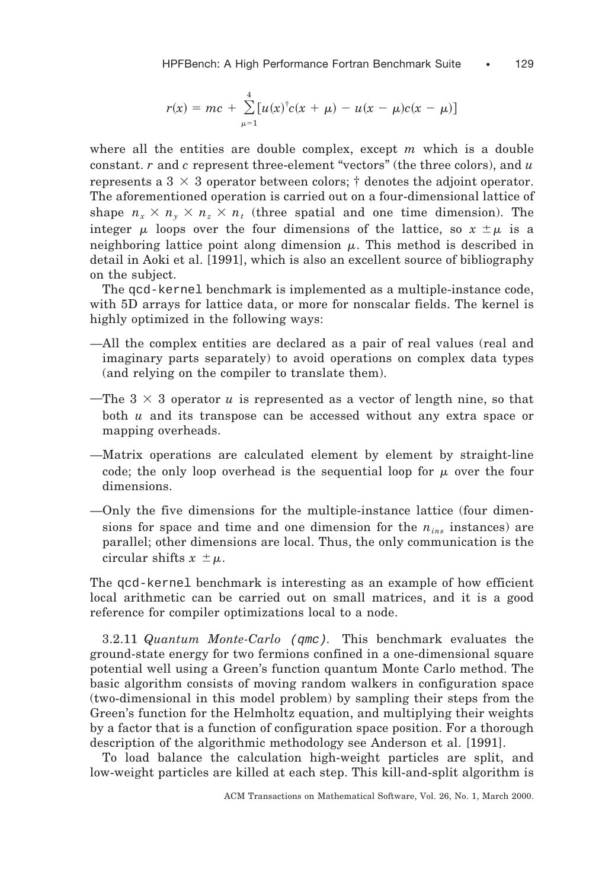$$
r(x) = mc + \sum_{\mu=1}^{4} [u(x)^{\dagger} c(x + \mu) - u(x - \mu) c(x - \mu)]
$$

where all the entities are double complex, except *m* which is a double constant. *r* and *c* represent three-element "vectors" (the three colors), and *u* represents a  $3 \times 3$  operator between colors;  $\dagger$  denotes the adjoint operator. The aforementioned operation is carried out on a four-dimensional lattice of shape  $n_x \times n_y \times n_z \times n_t$  (three spatial and one time dimension). The integer  $\mu$  loops over the four dimensions of the lattice, so  $x \pm \mu$  is a neighboring lattice point along dimension  $\mu$ . This method is described in detail in Aoki et al. [1991], which is also an excellent source of bibliography on the subject.

The qcd-kernel benchmark is implemented as a multiple-instance code, with 5D arrays for lattice data, or more for nonscalar fields. The kernel is highly optimized in the following ways:

- —All the complex entities are declared as a pair of real values (real and imaginary parts separately) to avoid operations on complex data types (and relying on the compiler to translate them).
- —The  $3 \times 3$  operator *u* is represented as a vector of length nine, so that both *u* and its transpose can be accessed without any extra space or mapping overheads.
- —Matrix operations are calculated element by element by straight-line code; the only loop overhead is the sequential loop for  $\mu$  over the four dimensions.
- —Only the five dimensions for the multiple-instance lattice (four dimensions for space and time and one dimension for the *nins* instances) are parallel; other dimensions are local. Thus, the only communication is the circular shifts  $x \pm \mu$ .

The qcd-kernel benchmark is interesting as an example of how efficient local arithmetic can be carried out on small matrices, and it is a good reference for compiler optimizations local to a node.

3.2.11 *Quantum Monte-Carlo* (qmc). This benchmark evaluates the ground-state energy for two fermions confined in a one-dimensional square potential well using a Green's function quantum Monte Carlo method. The basic algorithm consists of moving random walkers in configuration space (two-dimensional in this model problem) by sampling their steps from the Green's function for the Helmholtz equation, and multiplying their weights by a factor that is a function of configuration space position. For a thorough description of the algorithmic methodology see Anderson et al. [1991].

To load balance the calculation high-weight particles are split, and low-weight particles are killed at each step. This kill-and-split algorithm is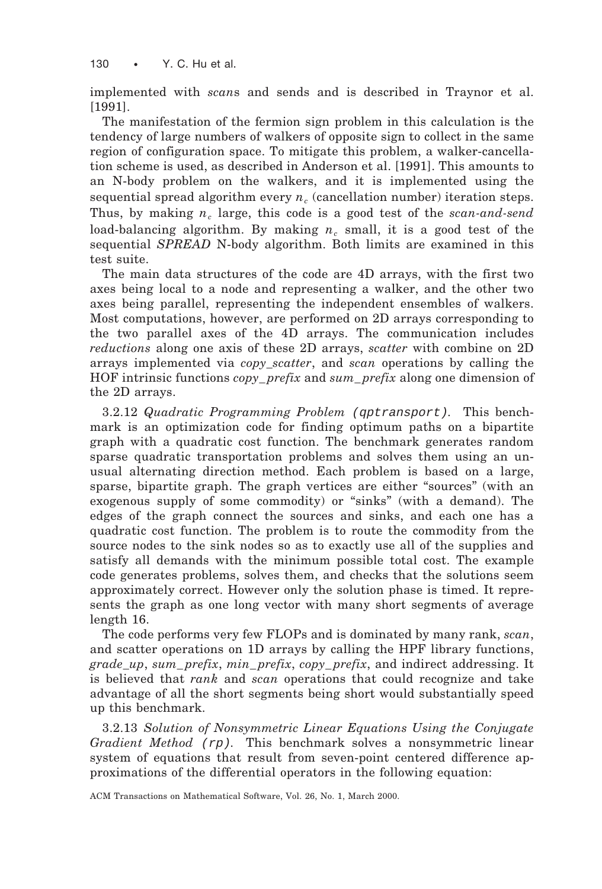implemented with *scan*s and sends and is described in Traynor et al. [1991].

The manifestation of the fermion sign problem in this calculation is the tendency of large numbers of walkers of opposite sign to collect in the same region of configuration space. To mitigate this problem, a walker-cancellation scheme is used, as described in Anderson et al. [1991]. This amounts to an N-body problem on the walkers, and it is implemented using the sequential spread algorithm every  $n_c$  (cancellation number) iteration steps. Thus, by making  $n_c$  large, this code is a good test of the *scan-and-send* load-balancing algorithm. By making  $n_c$  small, it is a good test of the sequential *SPREAD* N-body algorithm. Both limits are examined in this test suite.

The main data structures of the code are 4D arrays, with the first two axes being local to a node and representing a walker, and the other two axes being parallel, representing the independent ensembles of walkers. Most computations, however, are performed on 2D arrays corresponding to the two parallel axes of the 4D arrays. The communication includes *reductions* along one axis of these 2D arrays, *scatter* with combine on 2D arrays implemented via *copy\_scatter*, and *scan* operations by calling the HOF intrinsic functions *copy\_ prefix* and *sum\_ prefix* along one dimension of the 2D arrays.

3.2.12 *Quadratic Programming Problem* (qptransport). This benchmark is an optimization code for finding optimum paths on a bipartite graph with a quadratic cost function. The benchmark generates random sparse quadratic transportation problems and solves them using an unusual alternating direction method. Each problem is based on a large, sparse, bipartite graph. The graph vertices are either "sources" (with an exogenous supply of some commodity) or "sinks" (with a demand). The edges of the graph connect the sources and sinks, and each one has a quadratic cost function. The problem is to route the commodity from the source nodes to the sink nodes so as to exactly use all of the supplies and satisfy all demands with the minimum possible total cost. The example code generates problems, solves them, and checks that the solutions seem approximately correct. However only the solution phase is timed. It represents the graph as one long vector with many short segments of average length 16.

The code performs very few FLOPs and is dominated by many rank, *scan*, and scatter operations on 1D arrays by calling the HPF library functions, *grade\_up*, *sum\_ prefix*, *min\_ prefix*, *copy\_ prefix*, and indirect addressing. It is believed that *rank* and *scan* operations that could recognize and take advantage of all the short segments being short would substantially speed up this benchmark.

3.2.13 *Solution of Nonsymmetric Linear Equations Using the Conjugate Gradient Method* (rp). This benchmark solves a nonsymmetric linear system of equations that result from seven-point centered difference approximations of the differential operators in the following equation: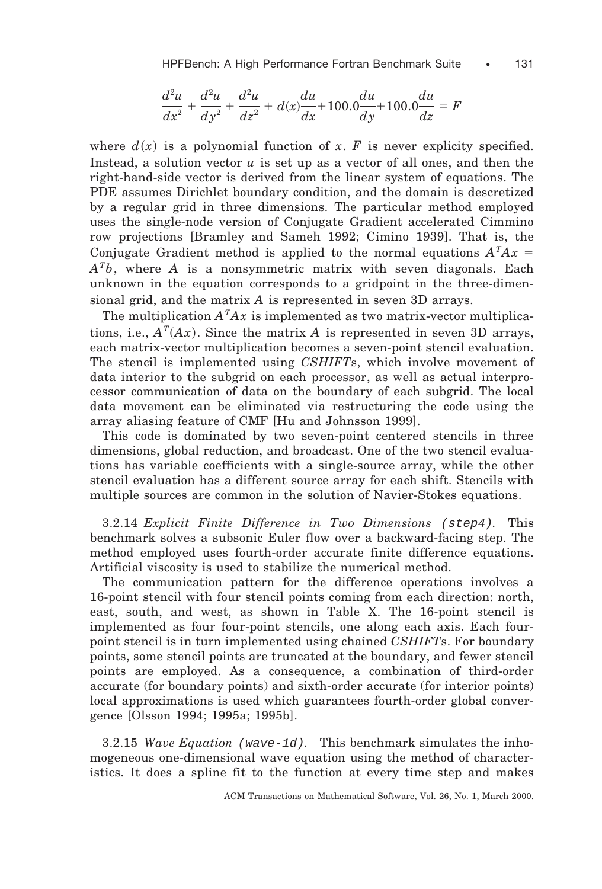$$
\frac{d^2u}{dx^2} + \frac{d^2u}{dy^2} + \frac{d^2u}{dz^2} + d(x)\frac{du}{dx} + 100.0\frac{du}{dy} + 100.0\frac{du}{dz} = F
$$

where  $d(x)$  is a polynomial function of *x*. *F* is never explicity specified. Instead, a solution vector *u* is set up as a vector of all ones, and then the right-hand-side vector is derived from the linear system of equations. The PDE assumes Dirichlet boundary condition, and the domain is descretized by a regular grid in three dimensions. The particular method employed uses the single-node version of Conjugate Gradient accelerated Cimmino row projections [Bramley and Sameh 1992; Cimino 1939]. That is, the Conjugate Gradient method is applied to the normal equations  $A<sup>T</sup>Ax =$ *ATb*, where *A* is a nonsymmetric matrix with seven diagonals. Each unknown in the equation corresponds to a gridpoint in the three-dimensional grid, and the matrix *A* is represented in seven 3D arrays.

The multiplication  $A^T A x$  is implemented as two matrix-vector multiplications, i.e.,  $A<sup>T</sup>(Ax)$ . Since the matrix *A* is represented in seven 3D arrays, each matrix-vector multiplication becomes a seven-point stencil evaluation. The stencil is implemented using *CSHIFT*s, which involve movement of data interior to the subgrid on each processor, as well as actual interprocessor communication of data on the boundary of each subgrid. The local data movement can be eliminated via restructuring the code using the array aliasing feature of CMF [Hu and Johnsson 1999].

This code is dominated by two seven-point centered stencils in three dimensions, global reduction, and broadcast. One of the two stencil evaluations has variable coefficients with a single-source array, while the other stencil evaluation has a different source array for each shift. Stencils with multiple sources are common in the solution of Navier-Stokes equations.

3.2.14 *Explicit Finite Difference in Two Dimensions* (step4). This benchmark solves a subsonic Euler flow over a backward-facing step. The method employed uses fourth-order accurate finite difference equations. Artificial viscosity is used to stabilize the numerical method.

The communication pattern for the difference operations involves a 16-point stencil with four stencil points coming from each direction: north, east, south, and west, as shown in Table X. The 16-point stencil is implemented as four four-point stencils, one along each axis. Each fourpoint stencil is in turn implemented using chained *CSHIFT*s. For boundary points, some stencil points are truncated at the boundary, and fewer stencil points are employed. As a consequence, a combination of third-order accurate (for boundary points) and sixth-order accurate (for interior points) local approximations is used which guarantees fourth-order global convergence [Olsson 1994; 1995a; 1995b].

3.2.15 *Wave Equation* (wave-1d). This benchmark simulates the inhomogeneous one-dimensional wave equation using the method of characteristics. It does a spline fit to the function at every time step and makes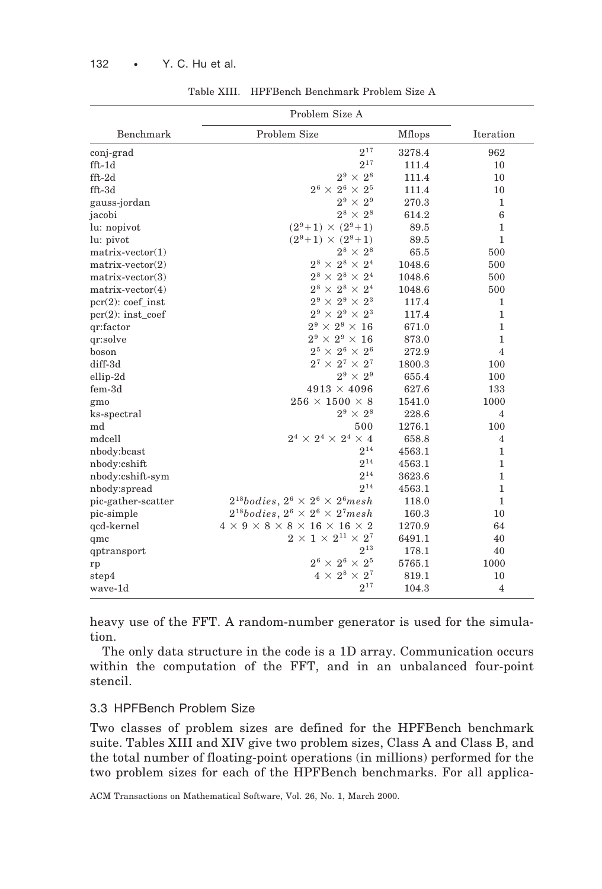|                             | Problem Size A                                              |               |                |
|-----------------------------|-------------------------------------------------------------|---------------|----------------|
| Benchmark                   | Problem Size                                                | <b>Mflops</b> | Iteration      |
| conj-grad                   | $2^{17}$                                                    | 3278.4        | 962            |
| $fft-1d$                    | $2^{17}$                                                    | 111.4         | 10             |
| $ft-2d$                     | $2^9 \times 2^8$                                            | 111.4         | 10             |
| $fft-3d$                    | $2^6 \times 2^6 \times 2^5$                                 | 111.4         | 10             |
| gauss-jordan                | $2^9 \times 2^9$                                            | 270.3         | $\mathbf{1}$   |
| jacobi                      | $2^8 \times 2^8$                                            | 614.2         | 6              |
| lu: nopivot                 | $(2^9+1) \times (2^9+1)$                                    | 89.5          | $\mathbf{1}$   |
| lu: pivot                   | $(2^9+1) \times (2^9+1)$                                    | 89.5          | $\mathbf{1}$   |
| $matrix-vector(1)$          | $2^8 \times 2^8$                                            | 65.5          | 500            |
| $matrix-vector(2)$          | $2^8 \times 2^8 \times 2^4$                                 | 1048.6        | 500            |
| $matrix-vector(3)$          | $2^8 \times 2^8 \times 2^4$                                 | 1048.6        | 500            |
| $matrix-vector(4)$          | $2^8 \times 2^8 \times 2^4$                                 | 1048.6        | 500            |
| $\text{pcr}(2)$ : coef_inst | $2^9 \times 2^9 \times 2^3$                                 | 117.4         | $\mathbf{1}$   |
| $\text{pcr}(2)$ : inst_coef | $2^9 \times 2^9 \times 2^3$                                 | 117.4         | $\mathbf{1}$   |
| qr:factor                   | $2^9 \times 2^9 \times 16$                                  | 671.0         | 1              |
| qr:solve                    | $2^9 \times 2^9 \times 16$                                  | 873.0         | $\mathbf{1}$   |
| boson                       | $2^5 \times 2^6 \times 2^6$                                 | 272.9         | $\overline{4}$ |
| diff-3d                     | $2^7\times 2^7\times 2^7$                                   | 1800.3        | 100            |
| ellip-2d                    | $2^9 \times 2^9$                                            | 655.4         | 100            |
| fem-3d                      | $4913 \times 4096$                                          | 627.6         | 133            |
| gmo                         | $256 \times 1500 \times 8$                                  | 1541.0        | 1000           |
| ks-spectral                 | $2^9 \times 2^8$                                            | 228.6         | $\overline{4}$ |
| md                          | 500                                                         | 1276.1        | 100            |
| mdcell                      | $2^4 \times 2^4 \times 2^4 \times 4$                        | 658.8         | 4              |
| nbody:bcast                 | $2^{14}$                                                    | 4563.1        | 1              |
| nbody:cshift                | $2^{14}$                                                    | 4563.1        | 1              |
| nbody:cshift-sym            | $2^{14}$                                                    | 3623.6        | 1              |
| nbody:spread                | $2^{14}$                                                    | 4563.1        | $\mathbf{1}$   |
| pic-gather-scatter          | $2^{18}bodies, 2^6 \times 2^6 \times 2^6 mesh$              | 118.0         | $\mathbf{1}$   |
| pic-simple                  | $2^{18}bodies, 2^6 \times 2^6 \times 2^7 mesh$              | 160.3         | 10             |
| qcd-kernel                  | $4 \times 9 \times 8 \times 8 \times 16 \times 16 \times 2$ | 1270.9        | 64             |
| qmc                         | $2\times 1\times 2^{11}\times 2^7$                          | 6491.1        | 40             |
| qptransport                 | $2^{13}$                                                    | 178.1         | 40             |
| rp                          | $2^6 \times 2^6 \times 2^5$                                 | 5765.1        | 1000           |
| step4                       | $4 \times 2^8 \times 2^7$                                   | 819.1         | 10             |
| wave-1d                     | $2^{\hspace{1pt}17}$                                        | 104.3         | 4              |

Table XIII. HPFBench Benchmark Problem Size A

heavy use of the FFT. A random-number generator is used for the simulation.

The only data structure in the code is a 1D array. Communication occurs within the computation of the FFT, and in an unbalanced four-point stencil.

## 3.3 HPFBench Problem Size

Two classes of problem sizes are defined for the HPFBench benchmark suite. Tables XIII and XIV give two problem sizes, Class A and Class B, and the total number of floating-point operations (in millions) performed for the two problem sizes for each of the HPFBench benchmarks. For all applica-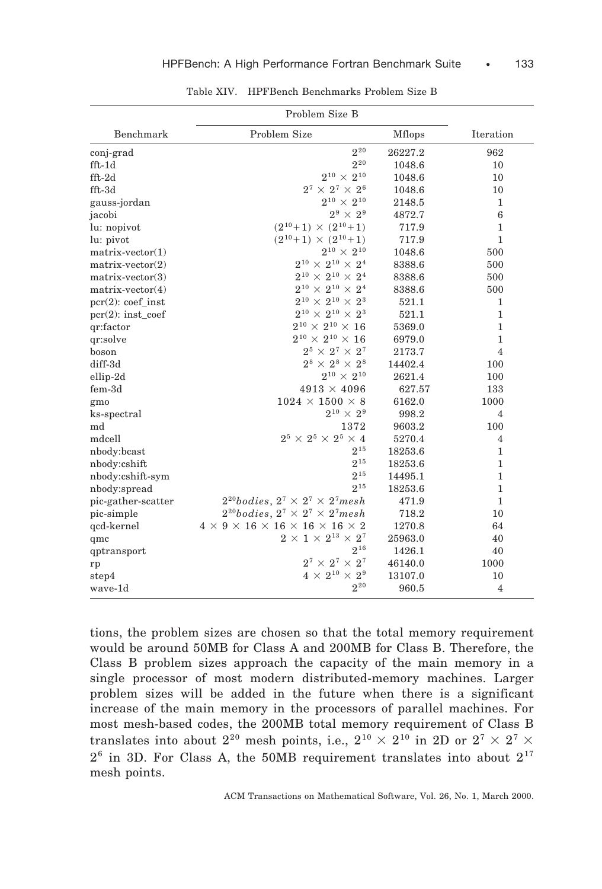|                             | Problem Size B                                                |               |                |
|-----------------------------|---------------------------------------------------------------|---------------|----------------|
| Benchmark                   | Problem Size                                                  | <b>Mflops</b> | Iteration      |
| conj-grad                   | $2^{20}$                                                      | 26227.2       | 962            |
| $fft-1d$                    | $2^{20}$                                                      | 1048.6        | 10             |
| $fft-2d$                    | $2^{10} \times 2^{10}$                                        | 1048.6        | 10             |
| fft-3d                      | $2^7 \times 2^7 \times 2^6$                                   | 1048.6        | 10             |
| gauss-jordan                | $2^{10} \times 2^{10}$                                        | 2148.5        | 1              |
| jacobi                      | $2^9 \times 2^9$                                              | 4872.7        | 6              |
| lu: nopivot                 | $(2^{10}+1) \times (2^{10}+1)$                                | 717.9         | 1              |
| lu: pivot                   | $(2^{10}+1) \times (2^{10}+1)$                                | 717.9         | $\mathbf{1}$   |
| $matrix-vector(1)$          | $2^{10} \times 2^{10}$                                        | 1048.6        | 500            |
| $matrix-vector(2)$          | $2^{10} \times 2^{10} \times 2^4$                             | 8388.6        | 500            |
| $matrix-vector(3)$          | $2^{10} \times 2^{10} \times 2^4$                             | 8388.6        | 500            |
| $matrix-vector(4)$          | $2^{10} \times 2^{10} \times 2^4$                             | 8388.6        | 500            |
| $\text{pcr}(2)$ : coef inst | $2^{10} \times 2^{10} \times 2^3$                             | 521.1         | 1              |
| $\text{pcr}(2)$ : inst_coef | $2^{10} \times 2^{10} \times 2^3$                             | 521.1         | $\mathbf{1}$   |
| qr:factor                   | $2^{10} \times 2^{10} \times 16$                              | 5369.0        | 1              |
| qr:solve                    | $2^{10} \times 2^{10} \times 16$                              | 6979.0        | $\mathbf{1}$   |
| boson                       | $2^5 \times 2^7 \times 2^7$                                   | 2173.7        | $\overline{4}$ |
| diff-3d                     | $2^8\times 2^8\times 2^8$                                     | 14402.4       | 100            |
| ellip-2d                    | $2^{10} \times 2^{10}$                                        | 2621.4        | 100            |
| fem-3d                      | $4913 \times 4096$                                            | 627.57        | 133            |
| gmo                         | $1024 \times 1500 \times 8$                                   | 6162.0        | 1000           |
| ks-spectral                 | $2^{10} \times 2^{9}$                                         | 998.2         | $\overline{4}$ |
| md                          | 1372                                                          | 9603.2        | 100            |
| mdcell                      | $2^5 \times 2^5 \times 2^5 \times 4$                          | 5270.4        | $\overline{4}$ |
| nbody:bcast                 | $2^{15}$                                                      | 18253.6       | $\mathbf{1}$   |
| nbody:cshift                | $2^{15}$                                                      | 18253.6       | $\mathbf{1}$   |
| nbody:cshift-sym            | $2^{15}$                                                      | 14495.1       | $\mathbf{1}$   |
| nbody:spread                | $2^{15}$                                                      | 18253.6       | $\mathbf{1}$   |
| pic-gather-scatter          | $2^{20}bodies, 2^7 \times 2^7 \times 2^7 mesh$                | 471.9         | $\mathbf{1}$   |
| pic-simple                  | $2^{20}bodies, 2^7 \times 2^7 \times 2^7 mesh$                | 718.2         | 10             |
| qcd-kernel                  | $4 \times 9 \times 16 \times 16 \times 16 \times 16 \times 2$ | 1270.8        | 64             |
| qmc                         | $2 \times 1 \times 2^{13} \times 2^7$                         | 25963.0       | 40             |
| qptransport                 | $2^{16}$                                                      | 1426.1        | 40             |
| rp                          | $2^7 \times 2^7 \times 2^7$                                   | 46140.0       | 1000           |
| step4                       | $4 \times 2^{10} \times 2^{9}$                                | 13107.0       | 10             |
| wave-1d                     | $2^{20}$                                                      | 960.5         | $\overline{4}$ |

Table XIV. HPFBench Benchmarks Problem Size B

tions, the problem sizes are chosen so that the total memory requirement would be around 50MB for Class A and 200MB for Class B. Therefore, the Class B problem sizes approach the capacity of the main memory in a single processor of most modern distributed-memory machines. Larger problem sizes will be added in the future when there is a significant increase of the main memory in the processors of parallel machines. For most mesh-based codes, the 200MB total memory requirement of Class B translates into about  $2^{20}$  mesh points, i.e.,  $2^{10} \times 2^{10}$  in 2D or  $2^7 \times 2^7 \times$  $2<sup>6</sup>$  in 3D. For Class A, the 50MB requirement translates into about  $2<sup>17</sup>$ mesh points.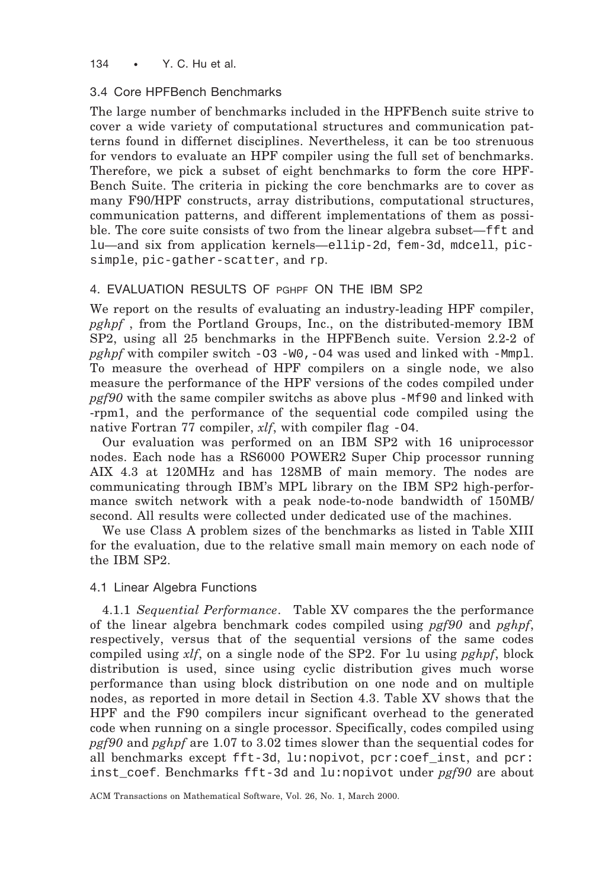## 134 • Y. C. Hu et al.

## 3.4 Core HPFBench Benchmarks

The large number of benchmarks included in the HPFBench suite strive to cover a wide variety of computational structures and communication patterns found in differnet disciplines. Nevertheless, it can be too strenuous for vendors to evaluate an HPF compiler using the full set of benchmarks. Therefore, we pick a subset of eight benchmarks to form the core HPF-Bench Suite. The criteria in picking the core benchmarks are to cover as many F90/HPF constructs, array distributions, computational structures, communication patterns, and different implementations of them as possible. The core suite consists of two from the linear algebra subset—fft and lu—and six from application kernels—ellip-2d, fem-3d, mdcell, picsimple, pic-gather-scatter, and rp.

# 4. EVALUATION RESULTS OF PGHPF ON THE IBM SP2

We report on the results of evaluating an industry-leading HPF compiler, *pghpf* , from the Portland Groups, Inc., on the distributed-memory IBM SP2, using all 25 benchmarks in the HPFBench suite. Version 2.2-2 of *pghpf* with compiler switch -O3 -W0,-O4 was used and linked with -Mmpl. To measure the overhead of HPF compilers on a single node, we also measure the performance of the HPF versions of the codes compiled under  $pgf90$  with the same compiler switchs as above plus  $-Mf90$  and linked with -rpm1, and the performance of the sequential code compiled using the native Fortran 77 compiler, *xlf*, with compiler flag -04.

Our evaluation was performed on an IBM SP2 with 16 uniprocessor nodes. Each node has a RS6000 POWER2 Super Chip processor running AIX 4.3 at 120MHz and has 128MB of main memory. The nodes are communicating through IBM's MPL library on the IBM SP2 high-performance switch network with a peak node-to-node bandwidth of 150MB/ second. All results were collected under dedicated use of the machines.

We use Class A problem sizes of the benchmarks as listed in Table XIII for the evaluation, due to the relative small main memory on each node of the IBM SP2.

## 4.1 Linear Algebra Functions

4.1.1 *Sequential Performance*. Table XV compares the the performance of the linear algebra benchmark codes compiled using *pgf90* and *pghpf*, respectively, versus that of the sequential versions of the same codes compiled using *xlf*, on a single node of the SP2. For lu using *pghpf*, block distribution is used, since using cyclic distribution gives much worse performance than using block distribution on one node and on multiple nodes, as reported in more detail in Section 4.3. Table XV shows that the HPF and the F90 compilers incur significant overhead to the generated code when running on a single processor. Specifically, codes compiled using *pgf90* and *pghpf* are 1.07 to 3.02 times slower than the sequential codes for all benchmarks except fft-3d, lu:nopivot, pcr:coef\_inst, and pcr: inst\_coef. Benchmarks fft-3d and lu:nopivot under *pgf90* are about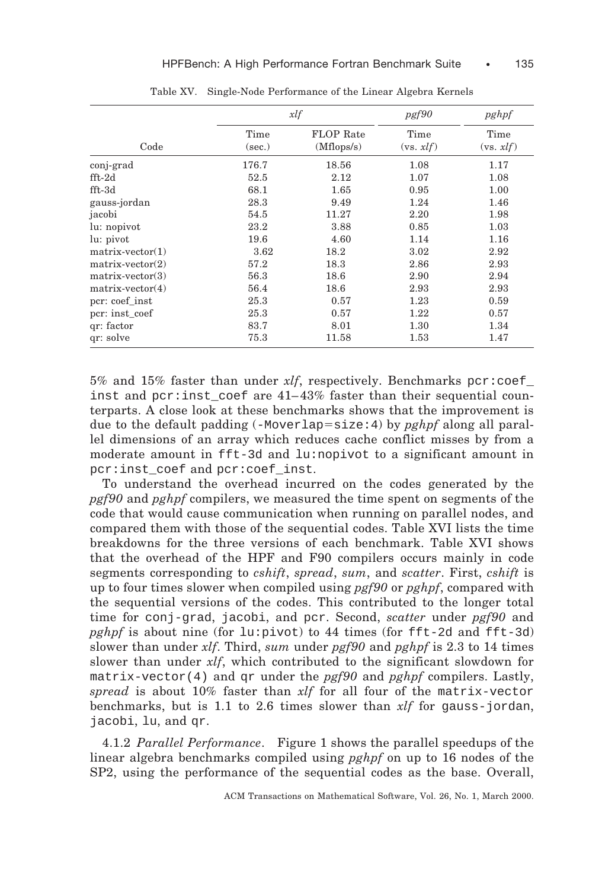|                                  | $x$ lf         |                         | pgf90                   | pghpf                   |
|----------------------------------|----------------|-------------------------|-------------------------|-------------------------|
| Code                             | Time<br>(sec.) | FLOP Rate<br>(Mflops/s) | Time<br>$(vs. x\n  tf)$ | Time<br>$(vs. x\n  tf)$ |
| conj-grad                        | 176.7          | 18.56                   | 1.08                    | 1.17                    |
| $fft-2d$                         | 52.5           | 2.12                    | 1.07                    | 1.08                    |
| $\operatorname{fft-}3\mathrm{d}$ | 68.1           | 1.65                    | 0.95                    | 1.00                    |
| gauss-jordan                     | 28.3           | 9.49                    | 1.24                    | 1.46                    |
| jacobi                           | 54.5           | 11.27                   | 2.20                    | 1.98                    |
| lu: nopivot                      | 23.2           | 3.88                    | 0.85                    | 1.03                    |
| lu: pivot                        | 19.6           | 4.60                    | 1.14                    | 1.16                    |
| $matrix-vector(1)$               | 3.62           | 18.2                    | 3.02                    | 2.92                    |
| $matrix-vector(2)$               | 57.2           | 18.3                    | 2.86                    | 2.93                    |
| $matrix-vector(3)$               | 56.3           | 18.6                    | 2.90                    | 2.94                    |
| $matrix-vector(4)$               | 56.4           | 18.6                    | 2.93                    | 2.93                    |
| pcr: coef_inst                   | 25.3           | 0.57                    | 1.23                    | 0.59                    |
| pcr: inst_coef                   | 25.3           | 0.57                    | 1.22                    | 0.57                    |
| gr: factor                       | 83.7           | 8.01                    | 1.30                    | 1.34                    |
| qr: solve                        | 75.3           | 11.58                   | 1.53                    | 1.47                    |

Table XV. Single-Node Performance of the Linear Algebra Kernels

5% and 15% faster than under  $x/f$ , respectively. Benchmarks  $per: coef$ inst and pcr: inst\_coef are  $41-43\%$  faster than their sequential counterparts. A close look at these benchmarks shows that the improvement is due to the default padding (-Moverlap5size:4) by *pghpf* along all parallel dimensions of an array which reduces cache conflict misses by from a moderate amount in fft-3d and lu:nopivot to a significant amount in pcr:inst\_coef and pcr:coef\_inst.

To understand the overhead incurred on the codes generated by the *pgf90* and *pghpf* compilers, we measured the time spent on segments of the code that would cause communication when running on parallel nodes, and compared them with those of the sequential codes. Table XVI lists the time breakdowns for the three versions of each benchmark. Table XVI shows that the overhead of the HPF and F90 compilers occurs mainly in code segments corresponding to *cshift*, *spread*, *sum*, and *scatter*. First, *cshift* is up to four times slower when compiled using *pgf90* or *pghpf*, compared with the sequential versions of the codes. This contributed to the longer total time for conj-grad, jacobi, and pcr. Second, *scatter* under *pgf90* and *pghpf* is about nine (for lu:pivot) to 44 times (for fft-2d and fft-3d) slower than under *xlf*. Third, *sum* under *pgf90* and *pghpf* is 2.3 to 14 times slower than under *xlf*, which contributed to the significant slowdown for matrix-vector(4) and qr under the *pgf90* and *pghpf* compilers. Lastly, *spread* is about 10% faster than *xlf* for all four of the matrix-vector benchmarks, but is 1.1 to 2.6 times slower than *xlf* for gauss-jordan, jacobi, lu, and qr.

4.1.2 *Parallel Performance*. Figure 1 shows the parallel speedups of the linear algebra benchmarks compiled using *pghpf* on up to 16 nodes of the SP2, using the performance of the sequential codes as the base. Overall,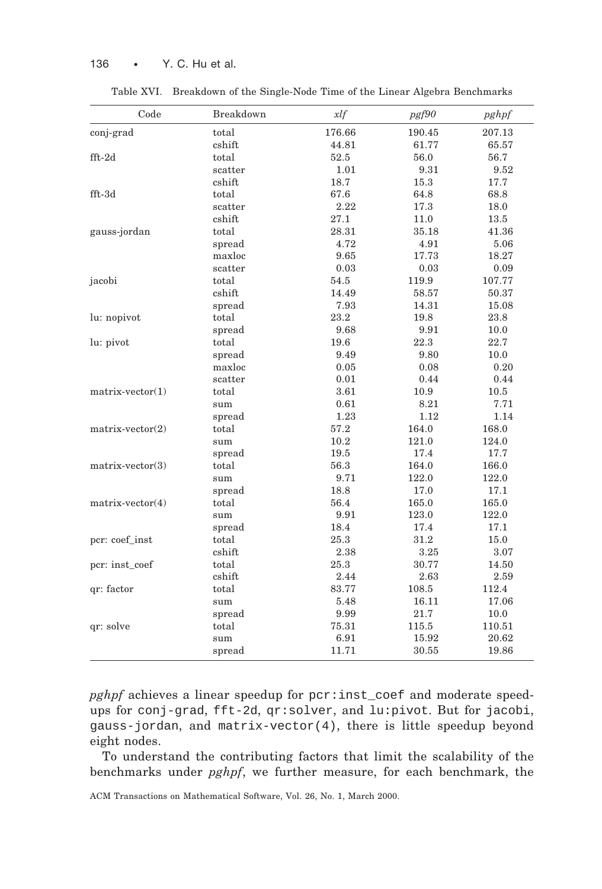## 136 • Y. C. Hu et al.

| Code               | Breakdown               | $x$ lf | pgf90  | pghpf    |
|--------------------|-------------------------|--------|--------|----------|
| conj-grad          | total                   | 176.66 | 190.45 | 207.13   |
|                    | cshift                  | 44.81  | 61.77  | 65.57    |
| $fft-2d$           | total                   | 52.5   | 56.0   | 56.7     |
|                    | scatter                 | 1.01   | 9.31   | 9.52     |
|                    | cshift                  | 18.7   | 15.3   | 17.7     |
| fft-3d             | total                   | 67.6   | 64.8   | 68.8     |
|                    | scatter                 | 2.22   | 17.3   | 18.0     |
|                    | cshift                  | 27.1   | 11.0   | 13.5     |
| gauss-jordan       | total                   | 28.31  | 35.18  | 41.36    |
|                    | spread                  | 4.72   | 4.91   | 5.06     |
|                    | maxloc                  | 9.65   | 17.73  | 18.27    |
|                    | scatter                 | 0.03   | 0.03   | 0.09     |
| jacobi             | total                   | 54.5   | 119.9  | 107.77   |
|                    | cshift                  | 14.49  | 58.57  | 50.37    |
|                    | spread                  | 7.93   | 14.31  | 15.08    |
| lu: nopivot        | total                   | 23.2   | 19.8   | 23.8     |
|                    | spread                  | 9.68   | 9.91   | 10.0     |
| lu: pivot          | total                   | 19.6   | 22.3   | 22.7     |
|                    | spread                  | 9.49   | 9.80   | 10.0     |
|                    | maxloc                  | 0.05   | 0.08   | 0.20     |
|                    | scatter                 | 0.01   | 0.44   | 0.44     |
| $matrix-vector(1)$ | total                   | 3.61   | 10.9   | 10.5     |
|                    | sum                     | 0.61   | 8.21   | 7.71     |
|                    | spread                  | 1.23   | 1.12   | 1.14     |
| $matrix-vector(2)$ | total                   | 57.2   | 164.0  | 168.0    |
|                    | sum                     | 10.2   | 121.0  | 124.0    |
|                    | spread                  | 19.5   | 17.4   | 17.7     |
| $matrix-vector(3)$ | total                   | 56.3   | 164.0  | 166.0    |
|                    | sum                     | 9.71   | 122.0  | 122.0    |
|                    | spread                  | 18.8   | 17.0   | 17.1     |
| $matrix-vector(4)$ | total                   | 56.4   | 165.0  | 165.0    |
|                    | sum                     | 9.91   | 123.0  | 122.0    |
|                    | spread                  | 18.4   | 17.4   | 17.1     |
| pcr: coef_inst     | total                   | 25.3   | 31.2   | 15.0     |
|                    | cshift                  | 2.38   | 3.25   | 3.07     |
| pcr: inst_coef     | total                   | 25.3   | 30.77  | 14.50    |
|                    | $\operatorname{cshift}$ | 2.44   | 2.63   | 2.59     |
| qr: factor         | total                   | 83.77  | 108.5  | 112.4    |
|                    | sum                     | 5.48   | 16.11  | 17.06    |
|                    | spread                  | 9.99   | 21.7   | $10.0\,$ |
| qr: solve          | total                   | 75.31  | 115.5  | 110.51   |
|                    | sum                     | 6.91   | 15.92  | 20.62    |
|                    | spread                  | 11.71  | 30.55  | 19.86    |

Table XVI. Breakdown of the Single-Node Time of the Linear Algebra Benchmarks

*pghpf* achieves a linear speedup for pcr:inst\_coef and moderate speedups for conj-grad, fft-2d, qr:solver, and lu:pivot. But for jacobi, gauss-jordan, and matrix-vector(4), there is little speedup beyond eight nodes.

To understand the contributing factors that limit the scalability of the benchmarks under *pghpf*, we further measure, for each benchmark, the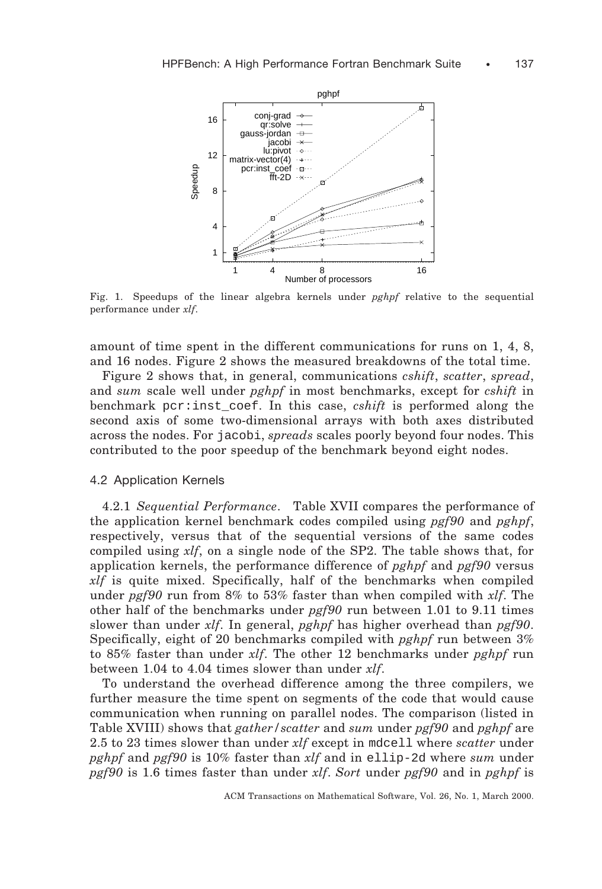

Fig. 1. Speedups of the linear algebra kernels under *pghpf* relative to the sequential performance under *xlf*.

amount of time spent in the different communications for runs on 1, 4, 8, and 16 nodes. Figure 2 shows the measured breakdowns of the total time.

Figure 2 shows that, in general, communications *cshift*, *scatter*, *spread*, and *sum* scale well under *pghpf* in most benchmarks, except for *cshift* in benchmark pcr:inst\_coef. In this case, *cshift* is performed along the second axis of some two-dimensional arrays with both axes distributed across the nodes. For jacobi, *spreads* scales poorly beyond four nodes. This contributed to the poor speedup of the benchmark beyond eight nodes.

#### 4.2 Application Kernels

4.2.1 *Sequential Performance*. Table XVII compares the performance of the application kernel benchmark codes compiled using *pgf90* and *pghpf*, respectively, versus that of the sequential versions of the same codes compiled using *xlf*, on a single node of the SP2. The table shows that, for application kernels, the performance difference of *pghpf* and *pgf90* versus *xlf* is quite mixed. Specifically, half of the benchmarks when compiled under *pgf90* run from 8% to 53% faster than when compiled with *xlf*. The other half of the benchmarks under *pgf90* run between 1.01 to 9.11 times slower than under *xlf*. In general, *pghpf* has higher overhead than *pgf90*. Specifically, eight of 20 benchmarks compiled with *pghpf* run between 3% to 85% faster than under *xlf*. The other 12 benchmarks under *pghpf* run between 1.04 to 4.04 times slower than under *xlf*.

To understand the overhead difference among the three compilers, we further measure the time spent on segments of the code that would cause communication when running on parallel nodes. The comparison (listed in Table XVIII) shows that *gather/scatter* and *sum* under *pgf90* and *pghpf* are 2.5 to 23 times slower than under *xlf* except in mdcell where *scatter* under *pghpf* and *pgf90* is 10% faster than *xlf* and in ellip-2d where *sum* under *pgf90* is 1.6 times faster than under *xlf*. *Sort* under *pgf90* and in *pghpf* is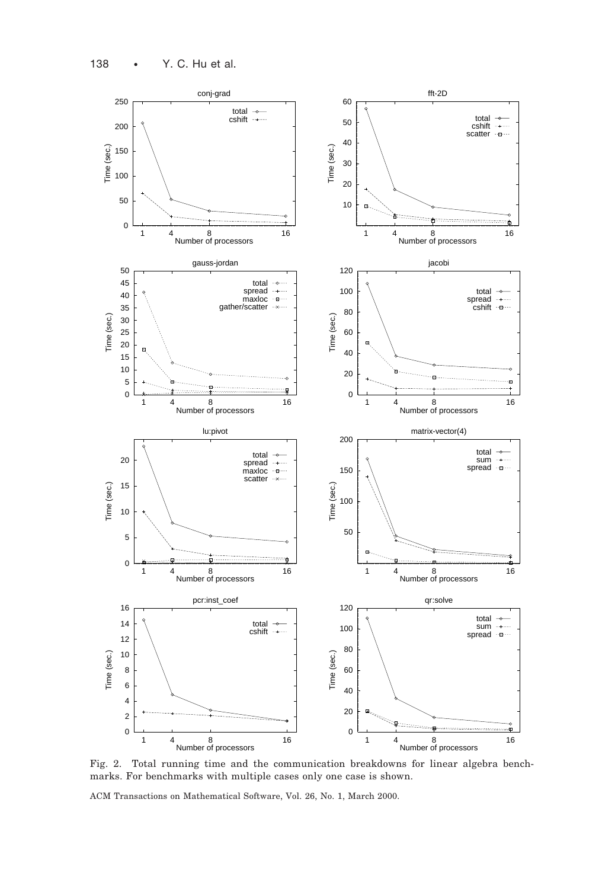

Fig. 2. Total running time and the communication breakdowns for linear algebra benchmarks. For benchmarks with multiple cases only one case is shown.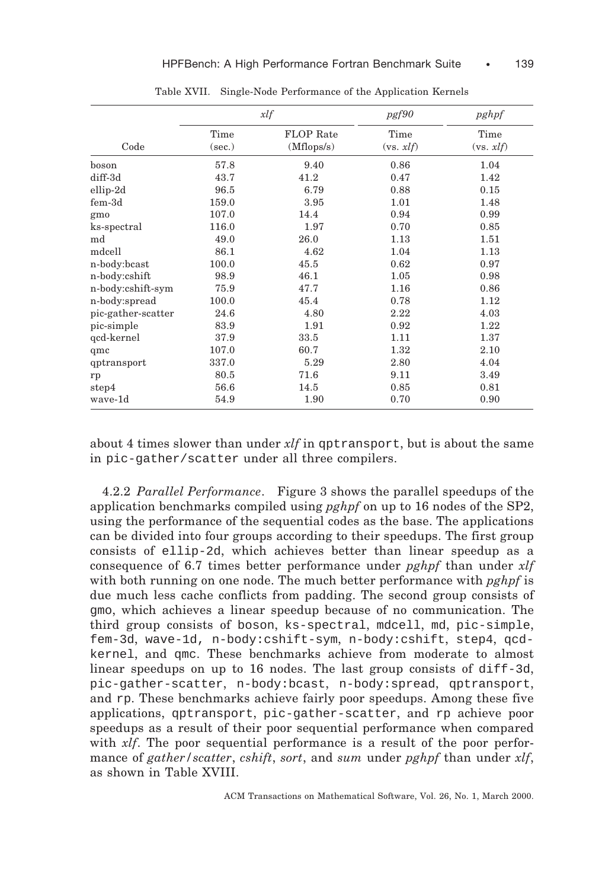|                    |                   | $x$ <i>lf</i>                  | $pgf90$             | pghpf                   |
|--------------------|-------------------|--------------------------------|---------------------|-------------------------|
| Code               | Time<br>$(\sec.)$ | <b>FLOP</b> Rate<br>(Mflops/s) | Time<br>(vs. x l f) | Time<br>$(vs. x\n  tf)$ |
| boson              | 57.8              | 9.40                           | 0.86                | 1.04                    |
| diff-3d            | 43.7              | 41.2                           | 0.47                | 1.42                    |
| ellip-2d           | 96.5              | 6.79                           | 0.88                | 0.15                    |
| fem-3d             | 159.0             | 3.95                           | 1.01                | 1.48                    |
| gmo                | 107.0             | 14.4                           | 0.94                | 0.99                    |
| ks-spectral        | 116.0             | 1.97                           | 0.70                | 0.85                    |
| md                 | 49.0              | 26.0                           | 1.13                | 1.51                    |
| mdcell             | 86.1              | 4.62                           | 1.04                | 1.13                    |
| n-body:bcast       | 100.0             | 45.5                           | 0.62                | 0.97                    |
| n-body:cshift      | 98.9              | 46.1                           | 1.05                | 0.98                    |
| n-body:cshift-sym  | 75.9              | 47.7                           | 1.16                | 0.86                    |
| n-body:spread      | 100.0             | 45.4                           | 0.78                | 1.12                    |
| pic-gather-scatter | 24.6              | 4.80                           | 2.22                | 4.03                    |
| pic-simple         | 83.9              | 1.91                           | 0.92                | 1.22                    |
| qcd-kernel         | 37.9              | 33.5                           | 1.11                | 1.37                    |
| qmc                | 107.0             | 60.7                           | 1.32                | 2.10                    |
| qptransport        | 337.0             | 5.29                           | 2.80                | 4.04                    |
| rp                 | 80.5              | 71.6                           | 9.11                | 3.49                    |
| step4              | 56.6              | 14.5                           | 0.85                | 0.81                    |
| wave-1d            | 54.9              | 1.90                           | 0.70                | 0.90                    |

Table XVII. Single-Node Performance of the Application Kernels

about 4 times slower than under *xlf* in qptransport, but is about the same in pic-gather/scatter under all three compilers.

4.2.2 *Parallel Performance*. Figure 3 shows the parallel speedups of the application benchmarks compiled using *pghpf* on up to 16 nodes of the SP2, using the performance of the sequential codes as the base. The applications can be divided into four groups according to their speedups. The first group consists of ellip-2d, which achieves better than linear speedup as a consequence of 6.7 times better performance under *pghpf* than under *xlf* with both running on one node. The much better performance with *pghpf* is due much less cache conflicts from padding. The second group consists of gmo, which achieves a linear speedup because of no communication. The third group consists of boson, ks-spectral, mdcell, md, pic-simple, fem-3d, wave-1d, n-body:cshift-sym, n-body:cshift, step4, qcdkernel, and qmc. These benchmarks achieve from moderate to almost linear speedups on up to 16 nodes. The last group consists of diff-3d, pic-gather-scatter, n-body:bcast, n-body:spread, qptransport, and rp. These benchmarks achieve fairly poor speedups. Among these five applications, qptransport, pic-gather-scatter, and rp achieve poor speedups as a result of their poor sequential performance when compared with *xlf*. The poor sequential performance is a result of the poor performance of *gather/scatter*, *cshift*, *sort*, and *sum* under *pghpf* than under *xlf*, as shown in Table XVIII.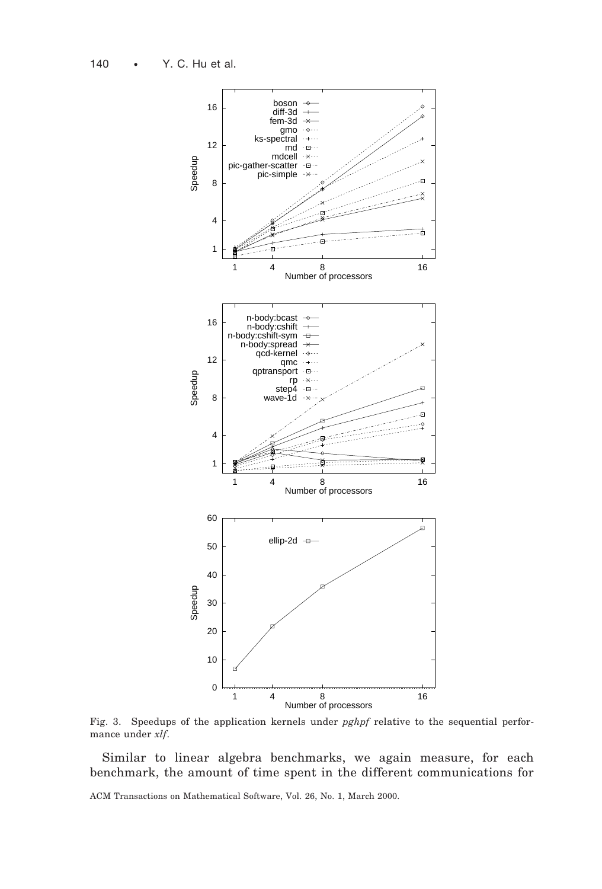

Fig. 3. Speedups of the application kernels under *pghpf* relative to the sequential performance under *xlf*.

Similar to linear algebra benchmarks, we again measure, for each benchmark, the amount of time spent in the different communications for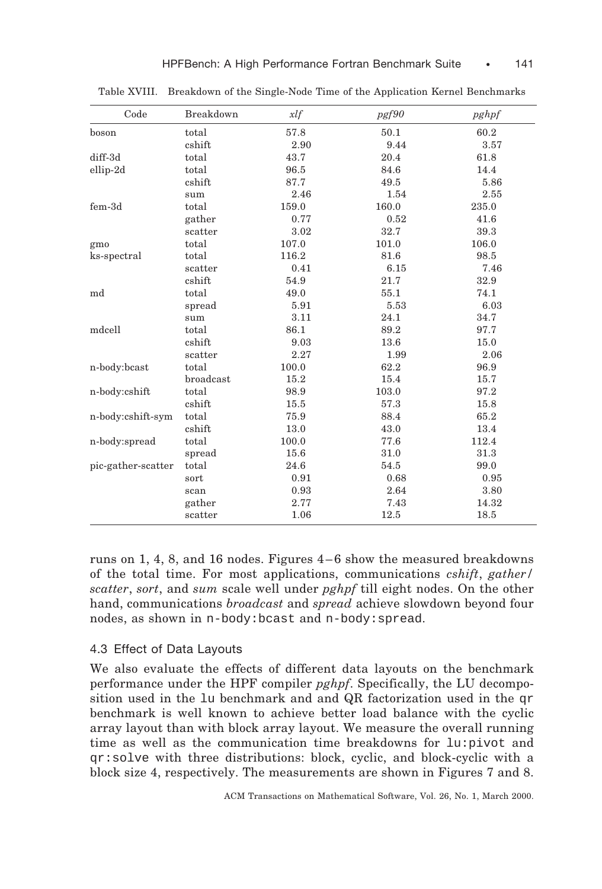| Code               | Breakdown | $x$ lf | pgf90 | pghpf |
|--------------------|-----------|--------|-------|-------|
| boson              | total     | 57.8   | 50.1  | 60.2  |
|                    | cshift    | 2.90   | 9.44  | 3.57  |
| diff-3d            | total     | 43.7   | 20.4  | 61.8  |
| ellip-2d           | total     | 96.5   | 84.6  | 14.4  |
|                    | cshift    | 87.7   | 49.5  | 5.86  |
|                    | sum       | 2.46   | 1.54  | 2.55  |
| fem-3d             | total     | 159.0  | 160.0 | 235.0 |
|                    | gather    | 0.77   | 0.52  | 41.6  |
|                    | scatter   | 3.02   | 32.7  | 39.3  |
| gmo                | total     | 107.0  | 101.0 | 106.0 |
| ks-spectral        | total     | 116.2  | 81.6  | 98.5  |
|                    | scatter   | 0.41   | 6.15  | 7.46  |
|                    | cshift    | 54.9   | 21.7  | 32.9  |
| md                 | total     | 49.0   | 55.1  | 74.1  |
|                    | spread    | 5.91   | 5.53  | 6.03  |
|                    | sum       | 3.11   | 24.1  | 34.7  |
| mdcell             | total     | 86.1   | 89.2  | 97.7  |
|                    | cshift    | 9.03   | 13.6  | 15.0  |
|                    | scatter   | 2.27   | 1.99  | 2.06  |
| n-body:bcast       | total     | 100.0  | 62.2  | 96.9  |
|                    | broadcast | 15.2   | 15.4  | 15.7  |
| n-body:cshift      | total     | 98.9   | 103.0 | 97.2  |
|                    | cshift    | 15.5   | 57.3  | 15.8  |
| n-body:cshift-sym  | total     | 75.9   | 88.4  | 65.2  |
|                    | cshift    | 13.0   | 43.0  | 13.4  |
| n-body:spread      | total     | 100.0  | 77.6  | 112.4 |
|                    | spread    | 15.6   | 31.0  | 31.3  |
| pic-gather-scatter | total     | 24.6   | 54.5  | 99.0  |
|                    | sort      | 0.91   | 0.68  | 0.95  |
|                    | scan      | 0.93   | 2.64  | 3.80  |
|                    | gather    | 2.77   | 7.43  | 14.32 |
|                    | scatter   | 1.06   | 12.5  | 18.5  |

Table XVIII. Breakdown of the Single-Node Time of the Application Kernel Benchmarks

runs on 1, 4, 8, and 16 nodes. Figures 4–6 show the measured breakdowns of the total time. For most applications, communications *cshift*, *gather/ scatter*, *sort*, and *sum* scale well under *pghpf* till eight nodes. On the other hand, communications *broadcast* and *spread* achieve slowdown beyond four nodes, as shown in n-body:bcast and n-body:spread.

#### 4.3 Effect of Data Layouts

We also evaluate the effects of different data layouts on the benchmark performance under the HPF compiler *pghpf*. Specifically, the LU decomposition used in the lu benchmark and and QR factorization used in the  $\sigma$ benchmark is well known to achieve better load balance with the cyclic array layout than with block array layout. We measure the overall running time as well as the communication time breakdowns for lu:pivot and qr:solve with three distributions: block, cyclic, and block-cyclic with a block size 4, respectively. The measurements are shown in Figures 7 and 8.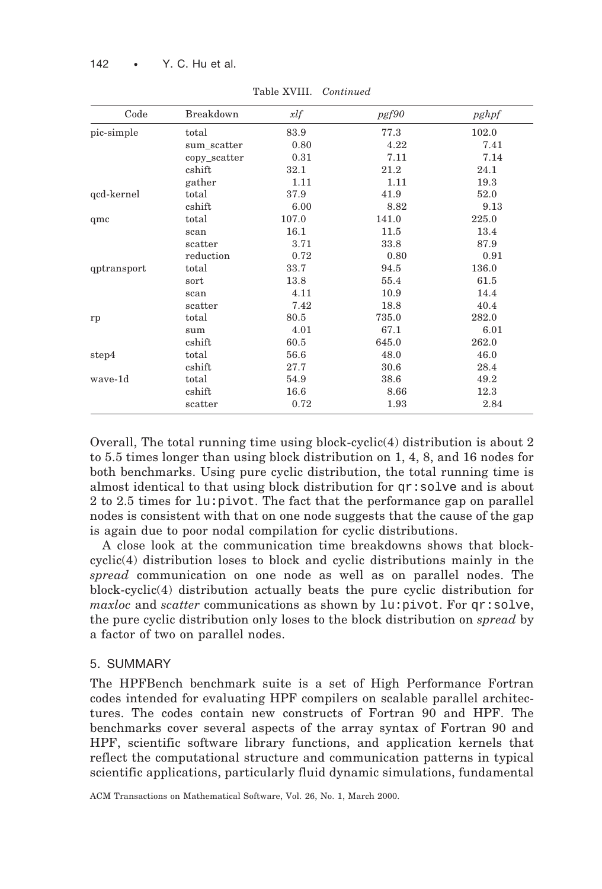| Code        | Breakdown    | $x$ lf | $pgf90$ | pghpf |
|-------------|--------------|--------|---------|-------|
| pic-simple  | total        | 83.9   | 77.3    | 102.0 |
|             | sum scatter  | 0.80   | 4.22    | 7.41  |
|             | copy_scatter | 0.31   | 7.11    | 7.14  |
|             | cshift       | 32.1   | 21.2    | 24.1  |
|             | gather       | 1.11   | 1.11    | 19.3  |
| qcd-kernel  | total        | 37.9   | 41.9    | 52.0  |
|             | cshift       | 6.00   | 8.82    | 9.13  |
| qmc         | total        | 107.0  | 141.0   | 225.0 |
|             | scan         | 16.1   | 11.5    | 13.4  |
|             | scatter      | 3.71   | 33.8    | 87.9  |
|             | reduction    | 0.72   | 0.80    | 0.91  |
| qptransport | total        | 33.7   | 94.5    | 136.0 |
|             | sort         | 13.8   | 55.4    | 61.5  |
|             | scan         | 4.11   | 10.9    | 14.4  |
|             | scatter      | 7.42   | 18.8    | 40.4  |
| rp          | total        | 80.5   | 735.0   | 282.0 |
|             | sum          | 4.01   | 67.1    | 6.01  |
|             | cshift       | 60.5   | 645.0   | 262.0 |
| step4       | total        | 56.6   | 48.0    | 46.0  |
|             | cshift       | 27.7   | 30.6    | 28.4  |
| wave-1d     | total        | 54.9   | 38.6    | 49.2  |
|             | cshift       | 16.6   | 8.66    | 12.3  |
|             | scatter      | 0.72   | 1.93    | 2.84  |

Table XVIII. *Continued*

Overall, The total running time using block-cyclic(4) distribution is about 2 to 5.5 times longer than using block distribution on 1, 4, 8, and 16 nodes for both benchmarks. Using pure cyclic distribution, the total running time is almost identical to that using block distribution for  $qr:solve$  and is about 2 to 2.5 times for  $l$ u: pivot. The fact that the performance gap on parallel nodes is consistent with that on one node suggests that the cause of the gap is again due to poor nodal compilation for cyclic distributions.

A close look at the communication time breakdowns shows that blockcyclic(4) distribution loses to block and cyclic distributions mainly in the *spread* communication on one node as well as on parallel nodes. The block-cyclic(4) distribution actually beats the pure cyclic distribution for *maxloc* and *scatter* communications as shown by lu:pivot. For qr:solve, the pure cyclic distribution only loses to the block distribution on *spread* by a factor of two on parallel nodes.

## 5. SUMMARY

The HPFBench benchmark suite is a set of High Performance Fortran codes intended for evaluating HPF compilers on scalable parallel architectures. The codes contain new constructs of Fortran 90 and HPF. The benchmarks cover several aspects of the array syntax of Fortran 90 and HPF, scientific software library functions, and application kernels that reflect the computational structure and communication patterns in typical scientific applications, particularly fluid dynamic simulations, fundamental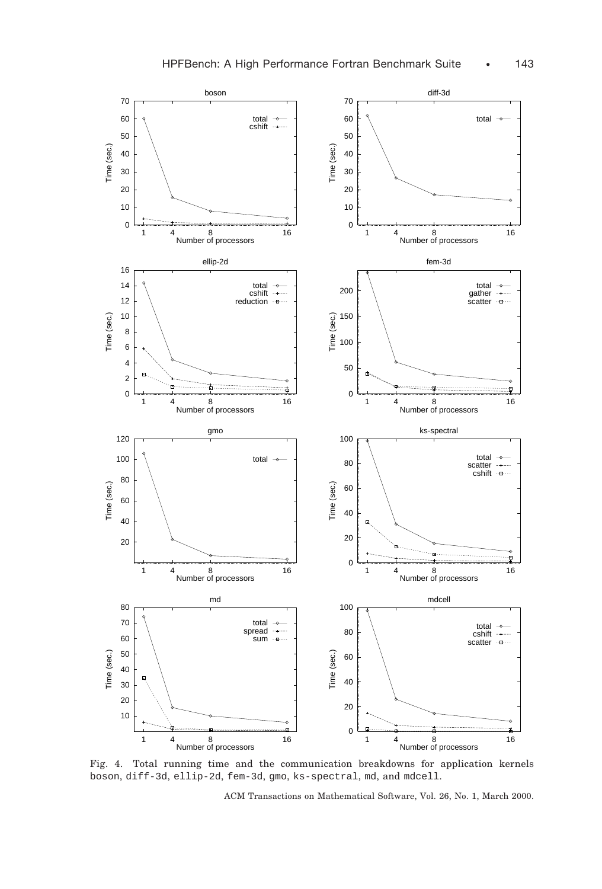

Fig. 4. Total running time and the communication breakdowns for application kernels boson, diff-3d, ellip-2d, fem-3d, gmo, ks-spectral, md, and mdcell.

ACM Transactions on Mathematical Software, Vol. 26, No. 1, March 2000.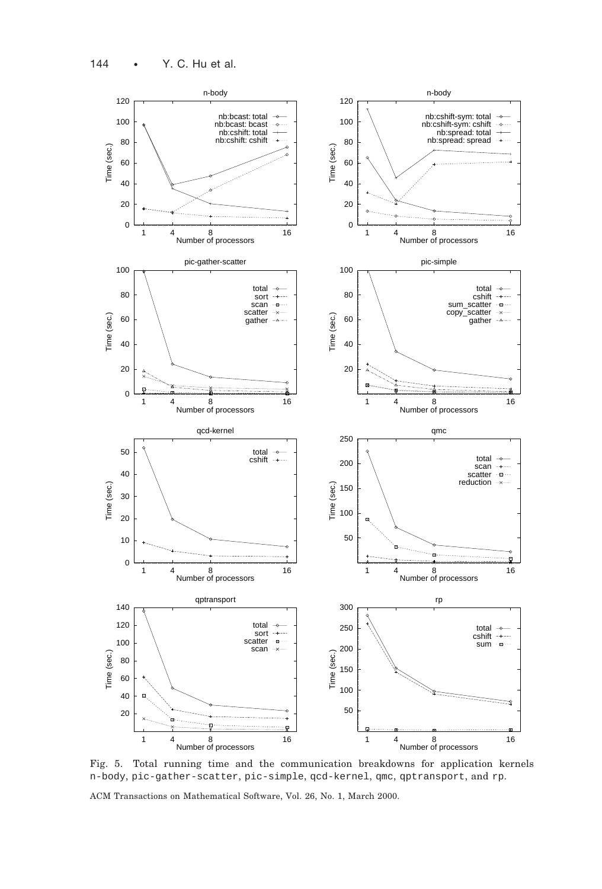

Fig. 5. Total running time and the communication breakdowns for application kernels n-body, pic-gather-scatter, pic-simple, qcd-kernel, qmc, qptransport, and rp.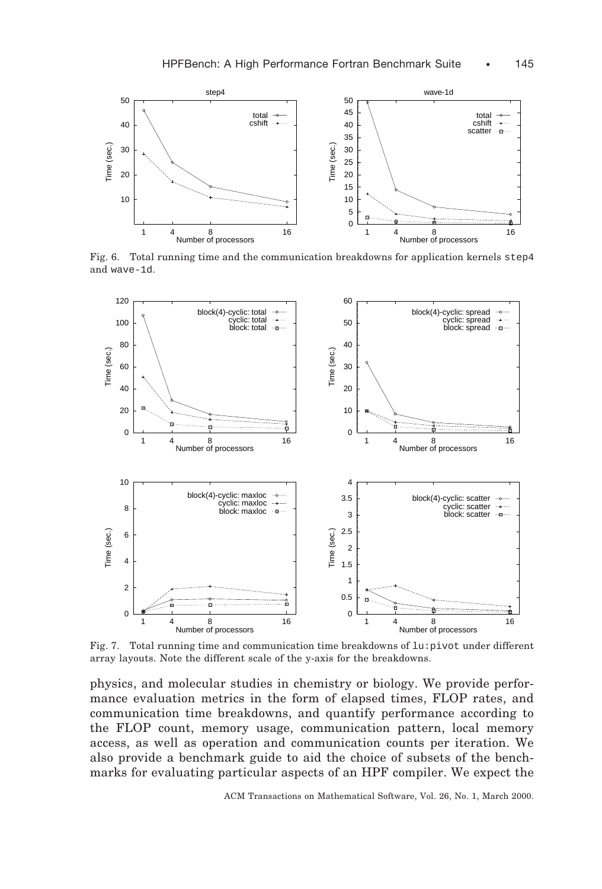

Fig. 6. Total running time and the communication breakdowns for application kernels step4 and wave-1d.



Fig. 7. Total running time and communication time breakdowns of  $lu:pi\otimes u$  under different array layouts. Note the different scale of the y-axis for the breakdowns.

physics, and molecular studies in chemistry or biology. We provide performance evaluation metrics in the form of elapsed times, FLOP rates, and communication time breakdowns, and quantify performance according to the FLOP count, memory usage, communication pattern, local memory access, as well as operation and communication counts per iteration. We also provide a benchmark guide to aid the choice of subsets of the benchmarks for evaluating particular aspects of an HPF compiler. We expect the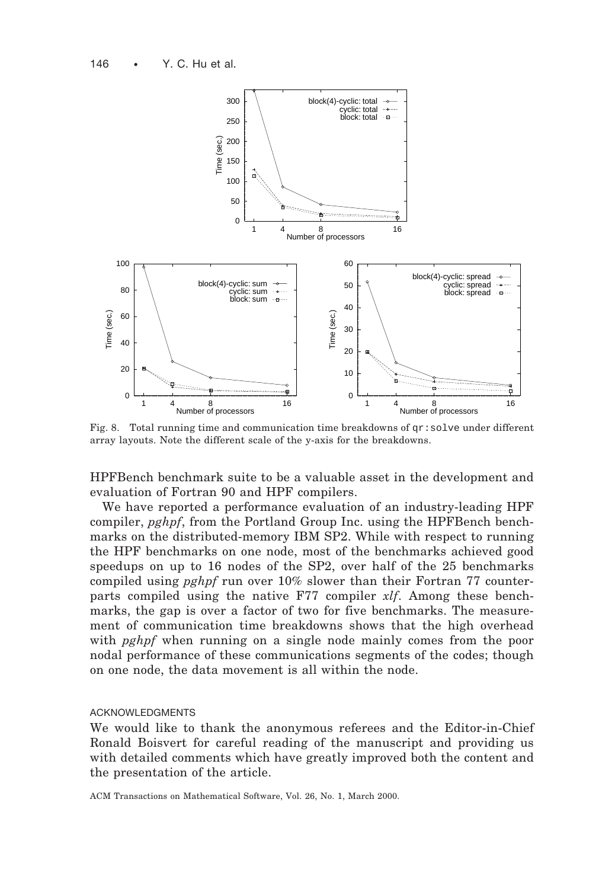146 • Y. C. Hu et al.



Fig. 8. Total running time and communication time breakdowns of  $qr:solve$  under different array layouts. Note the different scale of the y-axis for the breakdowns.

HPFBench benchmark suite to be a valuable asset in the development and evaluation of Fortran 90 and HPF compilers.

We have reported a performance evaluation of an industry-leading HPF compiler, *pghpf*, from the Portland Group Inc. using the HPFBench benchmarks on the distributed-memory IBM SP2. While with respect to running the HPF benchmarks on one node, most of the benchmarks achieved good speedups on up to 16 nodes of the SP2, over half of the 25 benchmarks compiled using *pghpf* run over 10% slower than their Fortran 77 counterparts compiled using the native F77 compiler *xlf*. Among these benchmarks, the gap is over a factor of two for five benchmarks. The measurement of communication time breakdowns shows that the high overhead with *pghpf* when running on a single node mainly comes from the poor nodal performance of these communications segments of the codes; though on one node, the data movement is all within the node.

#### ACKNOWLEDGMENTS

We would like to thank the anonymous referees and the Editor-in-Chief Ronald Boisvert for careful reading of the manuscript and providing us with detailed comments which have greatly improved both the content and the presentation of the article.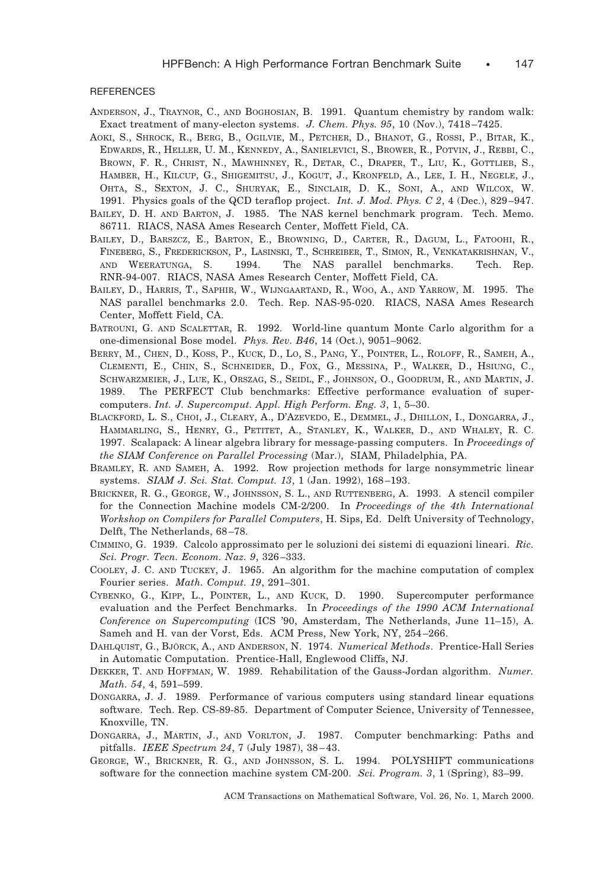#### **REFERENCES**

- ANDERSON, J., TRAYNOR, C., AND BOGHOSIAN, B. 1991. Quantum chemistry by random walk: Exact treatment of many-electon systems. *J. Chem. Phys. 95*, 10 (Nov.), 7418–7425.
- AOKI, S., SHROCK, R., BERG, B., OGILVIE, M., PETCHER, D., BHANOT, G., ROSSI, P., BITAR, K., EDWARDS, R., HELLER, U. M., KENNEDY, A., SANIELEVICI, S., BROWER, R., POTVIN, J., REBBI, C., BROWN, F. R., CHRIST, N., MAWHINNEY, R., DETAR, C., DRAPER, T., LIU, K., GOTTLIEB, S., HAMBER, H., KILCUP, G., SHIGEMITSU, J., KOGUT, J., KRONFELD, A., LEE, I. H., NEGELE, J., OHTA, S., SEXTON, J. C., SHURYAK, E., SINCLAIR, D. K., SONI, A., AND WILCOX, W. 1991. Physics goals of the QCD teraflop project. *Int. J. Mod. Phys. C 2*, 4 (Dec.), 829–947. BAILEY, D. H. AND BARTON, J. 1985. The NAS kernel benchmark program. Tech. Memo.
- 86711. RIACS, NASA Ames Research Center, Moffett Field, CA.
- BAILEY, D., BARSZCZ, E., BARTON, E., BROWNING, D., CARTER, R., DAGUM, L., FATOOHI, R., FINEBERG, S., FREDERICKSON, P., LASINSKI, T., SCHREIBER, T., SIMON, R., VENKATAKRISHNAN, V., AND WEERATUNGA, S. 1994. The NAS parallel benchmarks. Tech. Rep. RNR-94-007. RIACS, NASA Ames Research Center, Moffett Field, CA.
- BAILEY, D., HARRIS, T., SAPHIR, W., WIJNGAARTAND, R., WOO, A., AND YARROW, M. 1995. The NAS parallel benchmarks 2.0. Tech. Rep. NAS-95-020. RIACS, NASA Ames Research Center, Moffett Field, CA.
- BATROUNI, G. AND SCALETTAR, R. 1992. World-line quantum Monte Carlo algorithm for a one-dimensional Bose model. *Phys. Rev. B46*, 14 (Oct.), 9051–9062.
- BERRY, M., CHEN, D., KOSS, P., KUCK, D., LO, S., PANG, Y., POINTER, L., ROLOFF, R., SAMEH, A., CLEMENTI, E., CHIN, S., SCHNEIDER, D., FOX, G., MESSINA, P., WALKER, D., HSIUNG, C., SCHWARZMEIER, J., LUE, K., ORSZAG, S., SEIDL, F., JOHNSON, O., GOODRUM, R., AND MARTIN, J. 1989. The PERFECT Club benchmarks: Effective performance evaluation of supercomputers. *Int. J. Supercomput. Appl. High Perform. Eng. 3*, 1, 5–30.
- BLACKFORD, L. S., CHOI, J., CLEARY, A., D'AZEVEDO, E., DEMMEL, J., DHILLON, I., DONGARRA, J., HAMMARLING, S., HENRY, G., PETITET, A., STANLEY, K., WALKER, D., AND WHALEY, R. C. 1997. Scalapack: A linear algebra library for message-passing computers. In *Proceedings of the SIAM Conference on Parallel Processing* (Mar.), SIAM, Philadelphia, PA.
- BRAMLEY, R. AND SAMEH, A. 1992. Row projection methods for large nonsymmetric linear systems. *SIAM J. Sci. Stat. Comput. 13*, 1 (Jan. 1992), 168–193.
- BRICKNER, R. G., GEORGE, W., JOHNSSON, S. L., AND RUTTENBERG, A. 1993. A stencil compiler for the Connection Machine models CM-2/200. In *Proceedings of the 4th International Workshop on Compilers for Parallel Computers*, H. Sips, Ed. Delft University of Technology, Delft, The Netherlands, 68–78.
- CIMMINO, G. 1939. Calcolo approssimato per le soluzioni dei sistemi di equazioni lineari. *Ric. Sci. Progr. Tecn. Econom. Naz. 9*, 326–333.
- COOLEY, J. C. AND TUCKEY, J. 1965. An algorithm for the machine computation of complex Fourier series. *Math. Comput. 19*, 291–301.
- CYBENKO, G., KIPP, L., POINTER, L., AND KUCK, D. 1990. Supercomputer performance evaluation and the Perfect Benchmarks. In *Proceedings of the 1990 ACM International Conference on Supercomputing* (ICS '90, Amsterdam, The Netherlands, June 11–15), A. Sameh and H. van der Vorst, Eds. ACM Press, New York, NY, 254–266.
- DAHLQUIST, G., BJÖRCK, A., AND ANDERSON, N. 1974. *Numerical Methods*. Prentice-Hall Series in Automatic Computation. Prentice-Hall, Englewood Cliffs, NJ.
- DEKKER, T. AND HOFFMAN, W. 1989. Rehabilitation of the Gauss-Jordan algorithm. *Numer. Math. 54*, 4, 591–599.
- DONGARRA, J. J. 1989. Performance of various computers using standard linear equations software. Tech. Rep. CS-89-85. Department of Computer Science, University of Tennessee, Knoxville, TN.
- DONGARRA, J., MARTIN, J., AND VORLTON, J. 1987. Computer benchmarking: Paths and pitfalls. *IEEE Spectrum 24*, 7 (July 1987), 38–43.
- GEORGE, W., BRICKNER, R. G., AND JOHNSSON, S. L. 1994. POLYSHIFT communications software for the connection machine system CM-200. *Sci. Program. 3*, 1 (Spring), 83–99.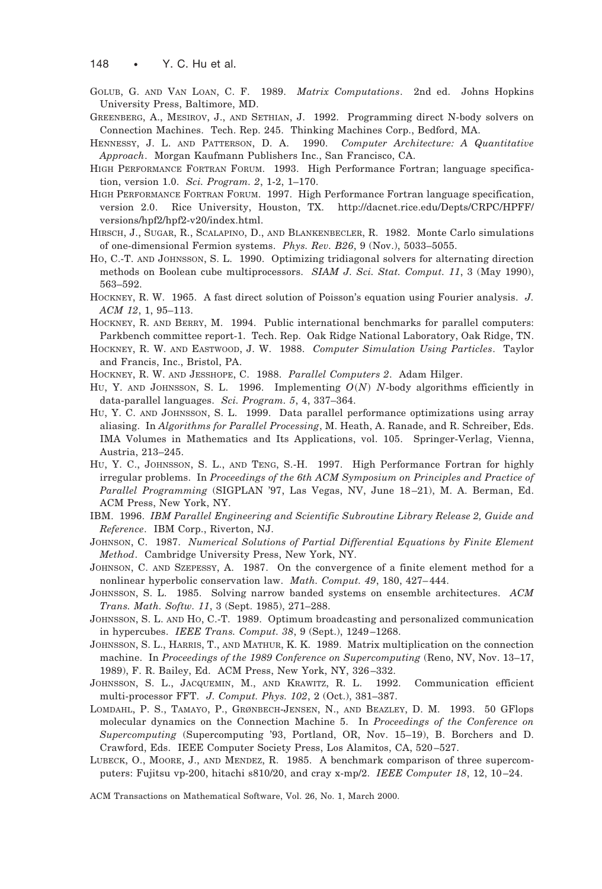- GOLUB, G. AND VAN LOAN, C. F. 1989. *Matrix Computations*. 2nd ed. Johns Hopkins University Press, Baltimore, MD.
- GREENBERG, A., MESIROV, J., AND SETHIAN, J. 1992. Programming direct N-body solvers on Connection Machines. Tech. Rep. 245. Thinking Machines Corp., Bedford, MA.
- HENNESSY, J. L. AND PATTERSON, D. A. 1990. *Computer Architecture: A Quantitative Approach*. Morgan Kaufmann Publishers Inc., San Francisco, CA.
- HIGH PERFORMANCE FORTRAN FORUM. 1993. High Performance Fortran; language specification, version 1.0. *Sci. Program. 2*, 1-2, 1–170.
- HIGH PERFORMANCE FORTRAN FORUM. 1997. High Performance Fortran language specification, version 2.0. Rice University, Houston, TX. http://dacnet.rice.edu/Depts/CRPC/HPFF/ versions/hpf2/hpf2-v20/index.html.
- HIRSCH, J., SUGAR, R., SCALAPINO, D., AND BLANKENBECLER, R. 1982. Monte Carlo simulations of one-dimensional Fermion systems. *Phys. Rev. B26*, 9 (Nov.), 5033–5055.
- HO, C.-T. AND JOHNSSON, S. L. 1990. Optimizing tridiagonal solvers for alternating direction methods on Boolean cube multiprocessors. *SIAM J. Sci. Stat. Comput. 11*, 3 (May 1990), 563–592.
- HOCKNEY, R. W. 1965. A fast direct solution of Poisson's equation using Fourier analysis. *J. ACM 12*, 1, 95–113.
- HOCKNEY, R. AND BERRY, M. 1994. Public international benchmarks for parallel computers: Parkbench committee report-1. Tech. Rep. Oak Ridge National Laboratory, Oak Ridge, TN.
- HOCKNEY, R. W. AND EASTWOOD, J. W. 1988. *Computer Simulation Using Particles*. Taylor and Francis, Inc., Bristol, PA.
- HOCKNEY, R. W. AND JESSHOPE, C. 1988. *Parallel Computers 2*. Adam Hilger.
- HU, Y. AND JOHNSSON, S. L. 1996. Implementing  $O(N)$  *N*-body algorithms efficiently in data-parallel languages. *Sci. Program. 5*, 4, 337–364.
- HU, Y. C. AND JOHNSSON, S. L. 1999. Data parallel performance optimizations using array aliasing. In *Algorithms for Parallel Processing*, M. Heath, A. Ranade, and R. Schreiber, Eds. IMA Volumes in Mathematics and Its Applications, vol. 105. Springer-Verlag, Vienna, Austria, 213–245.
- HU, Y. C., JOHNSSON, S. L., AND TENG, S.-H. 1997. High Performance Fortran for highly irregular problems. In *Proceedings of the 6th ACM Symposium on Principles and Practice of Parallel Programming* (SIGPLAN '97, Las Vegas, NV, June 18–21), M. A. Berman, Ed. ACM Press, New York, NY.
- IBM. 1996. *IBM Parallel Engineering and Scientific Subroutine Library Release 2, Guide and Reference*. IBM Corp., Riverton, NJ.
- JOHNSON, C. 1987. *Numerical Solutions of Partial Differential Equations by Finite Element Method*. Cambridge University Press, New York, NY.
- JOHNSON, C. AND SZEPESSY, A. 1987. On the convergence of a finite element method for a nonlinear hyperbolic conservation law. *Math. Comput. 49*, 180, 427–444.
- JOHNSSON, S. L. 1985. Solving narrow banded systems on ensemble architectures. *ACM Trans. Math. Softw. 11*, 3 (Sept. 1985), 271–288.
- JOHNSSON, S. L. AND HO, C.-T. 1989. Optimum broadcasting and personalized communication in hypercubes. *IEEE Trans. Comput. 38*, 9 (Sept.), 1249–1268.
- JOHNSSON, S. L., HARRIS, T., AND MATHUR, K. K. 1989. Matrix multiplication on the connection machine. In *Proceedings of the 1989 Conference on Supercomputing* (Reno, NV, Nov. 13–17, 1989), F. R. Bailey, Ed. ACM Press, New York, NY, 326–332.
- JOHNSSON, S. L., JACQUEMIN, M., AND KRAWITZ, R. L. 1992. Communication efficient multi-processor FFT. *J. Comput. Phys. 102*, 2 (Oct.), 381–387.
- LOMDAHL, P. S., TAMAYO, P., GRØNBECH-JENSEN, N., AND BEAZLEY, D. M. 1993. 50 GFlops molecular dynamics on the Connection Machine 5. In *Proceedings of the Conference on Supercomputing* (Supercomputing '93, Portland, OR, Nov. 15–19), B. Borchers and D. Crawford, Eds. IEEE Computer Society Press, Los Alamitos, CA, 520–527.
- LUBECK, O., MOORE, J., AND MENDEZ, R. 1985. A benchmark comparison of three supercomputers: Fujitsu vp-200, hitachi s810/20, and cray x-mp/2. *IEEE Computer 18*, 12, 10–24.